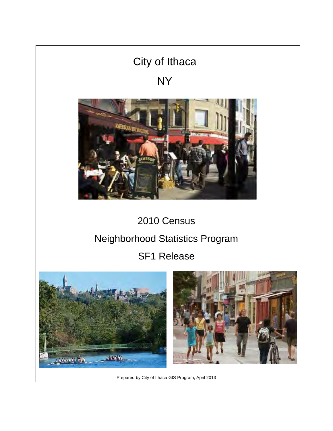# City of Ithaca NY



# 2010 Census Neighborhood Statistics Program







Prepared by City of Ithaca GIS Program, April 2013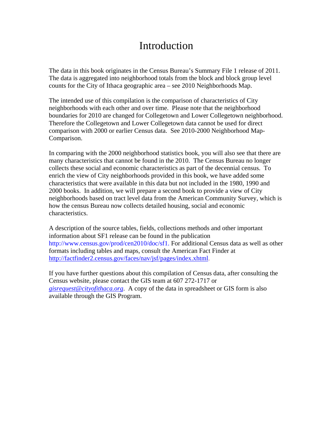## Introduction

The data in this book originates in the Census Bureau's Summary File 1 release of 2011. The data is aggregated into neighborhood totals from the block and block group level counts for the City of Ithaca geographic area – see 2010 Neighborhoods Map.

The intended use of this compilation is the comparison of characteristics of City neighborhoods with each other and over time. Please note that the neighborhood boundaries for 2010 are changed for Collegetown and Lower Collegetown neighborhood. Therefore the Collegetown and Lower Collegetown data cannot be used for direct comparison with 2000 or earlier Census data. See 2010-2000 Neighborhood Map-Comparison.

In comparing with the 2000 neighborhood statistics book, you will also see that there are many characteristics that cannot be found in the 2010. The Census Bureau no longer collects these social and economic characteristics as part of the decennial census. To enrich the view of City neighborhoods provided in this book, we have added some characteristics that were available in this data but not included in the 1980, 1990 and 2000 books. In addition, we will prepare a second book to provide a view of City neighborhoods based on tract level data from the American Community Survey, which is how the census Bureau now collects detailed housing, social and economic characteristics.

A description of the source tables, fields, collections methods and other important information about SF1 release can be found in the publication http://www.census.gov/prod/cen2010/doc/sf1. For additional Census data as well as other formats including tables and maps, consult the American Fact Finder at [http://factfinder2.census.gov/faces/nav/jsf/pages/index.xhtml.](http://factfinder2.census.gov/faces/nav/jsf/pages/index.xhtml)

If you have further questions about this compilation of Census data, after consulting the Census website, please contact the GIS team at 607 272-1717 or *[gisrequest@cityofithaca.org](mailto:gisrequest@cityofithaca.org)*. A copy of the data in spreadsheet or GIS form is also available through the GIS Program.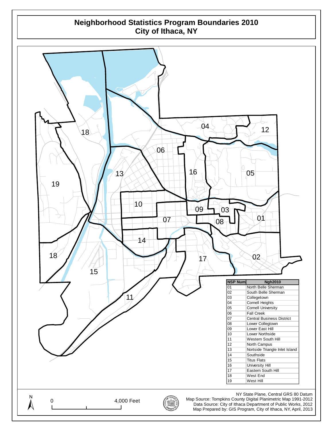#### **Neighborhood Statistics Program Boundaries 2010 City of Ithaca, NY**

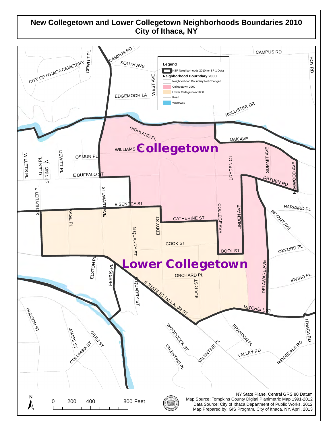### **New Collegetown and Lower Collegetown Neighborhoods Boundaries 2010 City of Ithaca, NY**

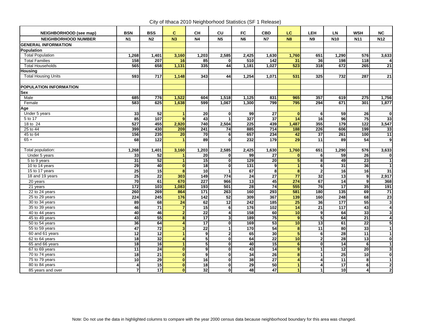City of Ithaca 2010 Neighborhood Statistics (SF 1 Release)

| NEIGHBORHOOD (see map)        | <b>BSN</b>      | <b>BSS</b>       | C.                      | <b>CH</b>        | CU                      | <b>FC</b>        | <b>CBD</b>      | <b>LC</b>       | LEH                     | <b>LN</b>       | <b>WSH</b>       | <b>NC</b>               |
|-------------------------------|-----------------|------------------|-------------------------|------------------|-------------------------|------------------|-----------------|-----------------|-------------------------|-----------------|------------------|-------------------------|
| <b>NEIGHBORHOOD NUMBER</b>    | N <sub>1</sub>  | N <sub>2</sub>   | N <sub>3</sub>          | N <sub>4</sub>   | <b>N5</b>               | <b>N6</b>        | <b>N7</b>       | <b>N8</b>       | <b>N9</b>               | <b>N10</b>      | <b>N11</b>       | <b>N12</b>              |
| <b>GENERAL INFORMATION</b>    |                 |                  |                         |                  |                         |                  |                 |                 |                         |                 |                  |                         |
| Population                    |                 |                  |                         |                  |                         |                  |                 |                 |                         |                 |                  |                         |
| <b>Total Population</b>       | 1,268           | 1,401            | 3,160                   | 1,203            | 2,585                   | 2,425            | 1,630           | 1,760           | 651                     | 1,290           | 576              | 3,633                   |
| <b>Total Families</b>         | 158             | 207              | 16                      | 85               | $\mathbf{0}$            | 510              | $\frac{1}{142}$ | 31              | 36                      | 198             | $\overline{118}$ | 4                       |
| <b>Total Households</b>       | 565             | 658              | 1,131                   | 335              | 44                      | 1,181            | 1,027           | 523             | 318                     | 672             | 265              | $\overline{21}$         |
| <b>Housing</b>                |                 |                  |                         |                  |                         |                  |                 |                 |                         |                 |                  |                         |
| <b>Total Housing Units</b>    | 593             | 717              | 1,148                   | 343              | 44                      | 1,254            | 1,071           | 531             | 325                     | 732             | 287              | $\overline{21}$         |
|                               |                 |                  |                         |                  |                         |                  |                 |                 |                         |                 |                  |                         |
| <b>POPULATION INFORMATION</b> |                 |                  |                         |                  |                         |                  |                 |                 |                         |                 |                  |                         |
| <b>Sex</b>                    |                 |                  |                         |                  |                         |                  |                 |                 |                         |                 |                  |                         |
| Male                          | 685             | 776              | 1.522                   | 604              | 1,518                   | 1,125            | 831             | 965             | 357                     | 619             | 275              | 1,756                   |
| Female                        | 583             | 625              | 1,638                   | 599              | 1,067                   | 1,300            | 799             | 795             | 294                     | 671             | 301              | 1,877                   |
| Age                           |                 |                  |                         |                  |                         |                  |                 |                 |                         |                 |                  |                         |
| Under 5 years                 | 33              | $\overline{52}$  | 1                       | 20               | $\mathbf{0}$            | 99               | $\overline{27}$ | $\mathbf{0}$    | 6 <sup>1</sup>          | 59              | 26               | $\pmb{0}$               |
| $5$ to 17                     | 85              | 107              | 9                       | 43               |                         | 327              | $\overline{37}$ | 14              | $\overline{16}$         | 96              | 75               | 33                      |
| 18 to 24                      | 527             | 455              | 2,920                   | 740              | 2,504                   | 225              | 439             | 1,487           | 355                     | 179             | 122              | 3,547                   |
| 25 to 44                      | 399             | 430              | 209                     | $\overline{241}$ | 74                      | 885              | 714             | 188             | 226                     | 606             | 199              | 33                      |
| 45 to 64                      | 156             | 235              | 20                      | 70               | 6                       | 657              | 234             | 42              | 37                      | 261             | 100              | 11                      |
| $65 +$                        | 68              | $\overline{122}$ | $\blacktriangleleft$    | 89               | $\mathbf{0}$            | 232              | 179             | $\overline{29}$ | $\overline{11}$         | 89              | 54               | $\overline{9}$          |
|                               |                 |                  |                         |                  |                         |                  |                 |                 |                         |                 |                  |                         |
| Total population:             | 1,268           | 1,401            | 3,160                   | 1,203            | 2,585                   | 2,425            | 1,630           | 1,760           | 651                     | 1,290           | 576              | 3,633                   |
| Under 5 years                 | 33              | 52               |                         | 20               | $\mathbf{0}$            | 99               | $\overline{27}$ | $\Omega$        | 6 <sup>1</sup>          | 59              | 26               | 0                       |
| 5 to 9 years                  | 31              | 52               | $\overline{1}$          | 15               | $\overline{\mathbf{0}}$ | 129              | 20              | 5               | $\overline{\mathbf{8}}$ | 49              | 23               | $\overline{1}$          |
| 10 to 14 years                | 29              | 40               | $\mathbf{0}$            | $\overline{18}$  | $\mathbf{0}$            | $\overline{131}$ | 9               |                 | $6 \overline{6}$        | 31              | 36               | $\overline{1}$          |
| 15 to 17 years                | 25              | 15               | 8                       | 10               |                         | 67               | 8               | 8               | $\overline{2}$          | 16              | 16               | 31                      |
| 18 and 19 years               | 25              | $\overline{22}$  | 303                     | 149              | 774                     | $\overline{24}$  | $\overline{27}$ | $\overline{77}$ | 32                      | 13              | $\boldsymbol{9}$ | 2,917                   |
| 20 years                      | 70              | 61               | 670                     | 227              | 966                     | 13               | 45              | 274             | 67                      | $\overline{14}$ | 9                | 368                     |
| 21 years                      | 172             | 103              | 1,083                   | 193              | 501                     | 28               | 74              | 555             | 76                      | 17              | 35               | 191                     |
| 22 to 24 years                | 260             | 269              | 864                     | $171$            | 263                     | 160              | 293             | 581             | 180                     | 135             | 69               | 71                      |
| 25 to 29 years                | 224             | 245              | 176                     | 142              | 52                      | 309              | 367             | 139             | 160                     | 248             | 68               | 23                      |
| 30 to 34 years                | 89              | 68               | 24                      | 62               | $\overline{12}$         | 242              | 185             | 25              | 36                      | 177             | 55               | $\overline{\mathbf{3}}$ |
| 35 to 39 years                | 46              | $\overline{71}$  | $\overline{7}$          | 15               | 6                       | 176              | 102             | 14              | $\overline{21}$         | 117             | 43               | $\overline{\mathbf{4}}$ |
| 40 to 44 years                | 40              | 46               | $\overline{2}$          | 22               | $\overline{4}$          | 158              | 60              | 10              | $\overline{9}$          | 64              | 33               | $\overline{\mathbf{3}}$ |
| 45 to 49 years                | 43              | 55               | $\bf{8}$                | 17               | $\overline{\mathbf{3}}$ | 189              | 75              | 9               | 5                       | 64              | $\overline{21}$  | $\overline{\mathbf{4}}$ |
| 50 to 54 years                | 36              | 64               | 4                       | $\overline{17}$  | $\overline{\mathbf{0}}$ | 169              | 53              | 10              | 13                      | 61              | $\overline{22}$  | 5                       |
| 55 to 59 years                | 47              | 72               | $\overline{\mathbf{3}}$ | $\overline{22}$  | $\mathbf{1}$            | 170              | 54              | 8               | 11                      | 80              | 33               | $\overline{1}$          |
| 60 and 61 years               | $\overline{12}$ | $\overline{12}$  | $\blacktriangleleft$    | $\boldsymbol{9}$ | $\overline{\mathbf{2}}$ | 65               | 30              | 5 <sup>1</sup>  | 6                       | $\overline{28}$ | $\overline{11}$  | $\overline{1}$          |
| 62 to 64 years                | 18              | 32               | 4                       | 5                | $\overline{\mathbf{0}}$ | 64               | 22              | 10              | $\overline{2}$          | 28              | 13               | $\overline{\mathbf{0}}$ |
| 65 and 66 years               | $\overline{18}$ | 16               | $\blacktriangleleft$    | 5                | $\overline{0}$          | 40               | 15              | 6 <sup>1</sup>  | $\mathbf{0}$            | 14              | 6                | $\overline{1}$          |
| 67 to 69 years                | $\overline{11}$ | 24               | $\mathbf{0}$            | 9                | $\overline{\mathbf{0}}$ | 43               | 14              | $\overline{9}$  | $\mathbf{1}$            | 12              | 20               | $\overline{\mathbf{3}}$ |
| 70 to 74 years                | $\overline{18}$ | $\overline{21}$  | $\overline{0}$          | $\overline{9}$   | $\overline{\mathbf{0}}$ | 34               | 26              | 8               | $\mathbf{1}$            | 25              | 10               | $\overline{\mathbf{0}}$ |
| 75 to 79 years                | 10              | 29               | $\mathbf{0}$            | 16               | $\overline{\mathbf{0}}$ | 38               | $\overline{27}$ | 4               | $\overline{4}$          | $\overline{11}$ | 8                | $\overline{1}$          |
| 80 to 84 years                | 4               | 15               | $\mathbf{0}$            | 18               | $\overline{0}$          | 29               | 50              |                 | $\overline{\mathbf{4}}$ | 17              | 6                | $\overline{2}$          |
| 85 years and over             | $\overline{7}$  | 17               | $\mathbf{0}$            | 32               | $\overline{0}$          | 48               | 47              | $\mathbf{1}$    | $\mathbf{1}$            | 10              | 4                | $\overline{\mathbf{2}}$ |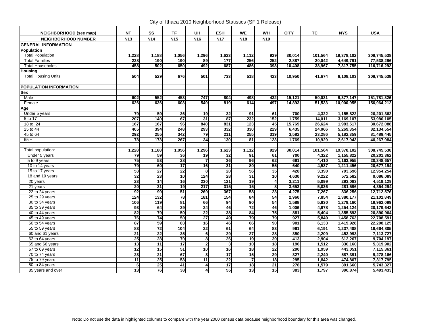City of Ithaca 2010 Neighborhood Statistics (SF 1 Release)

| NEIGHBORHOOD (see map)     | <b>NT</b>       | SS              | <b>TF</b>       | <b>UH</b>               | <b>ESH</b>       | <b>WE</b>       | WH              | <b>CITY</b>      | <b>TC</b> | <b>NYS</b> | <b>USA</b>  |
|----------------------------|-----------------|-----------------|-----------------|-------------------------|------------------|-----------------|-----------------|------------------|-----------|------------|-------------|
| <b>NEIGHBORHOOD NUMBER</b> | <b>N13</b>      | <b>N14</b>      | <b>N15</b>      | <b>N16</b>              | <b>N17</b>       | <b>N18</b>      | <b>N19</b>      |                  |           |            |             |
| <b>GENERAL INFORMATION</b> |                 |                 |                 |                         |                  |                 |                 |                  |           |            |             |
| Population                 |                 |                 |                 |                         |                  |                 |                 |                  |           |            |             |
| <b>Total Population</b>    | 1,228           | 1,188           | 1,056           | 1,296                   | 1,623            | 1,112           | 929             | 30,014           | 101,564   | 19,378,102 | 308,745,538 |
| <b>Total Families</b>      | 228             | 190             | 190             | 89                      | 177              | 256             | 252             | 2,887            | 20,042    | 4,649,791  | 77,538,296  |
| <b>Total Households</b>    | 458             | 502             | 650             | 492                     | 687              | 486             | 393             | 10,408           | 38,967    | 7,317,755  | 116,716,292 |
| <b>Housing</b>             |                 |                 |                 |                         |                  |                 |                 |                  |           |            |             |
| <b>Total Housing Units</b> | 504             | 529             | 676             | 501                     | 733              | 518             | 423             | 10,950           | 41,674    | 8,108,103  | 308,745,538 |
|                            |                 |                 |                 |                         |                  |                 |                 |                  |           |            |             |
| POPULATION INFORMATION     |                 |                 |                 |                         |                  |                 |                 |                  |           |            |             |
| Sex                        |                 |                 |                 |                         |                  |                 |                 |                  |           |            |             |
| Male                       | 602             | 552             | 453             | 747                     | 804              | 498             | 432             | 15,121           | 50,031    | 9,377,147  | 151,781,326 |
| Female                     | 626             | 636             | 603             | 549                     | 819              | 614             | 497             | 14,893           | 51,533    | 10,000,955 | 156,964,212 |
| Age                        |                 |                 |                 |                         |                  |                 |                 |                  |           |            |             |
| Under 5 years              | 79              | 59              | 36              | 19                      | 32               | 91              | 61              | 700              | 4,322     | 1,155,822  | 20,201,362  |
| $5$ to 17                  | 207             | 140             | 67              | 31                      | 87               | 232             | 152             | 1,759            | 14,011    | 3,169,107  | 53,980,105  |
| 18 to 24                   | 167             | 167             | 96              | 840                     | 831              | 123             | 45              | 15,769           | 26,624    | 1,983,517  | 30,672,088  |
| 25 to 44                   | 405             | 394             | 248             | 293                     | 332              | 330             | 229             | 6,435            | 24,066    | 5,269,354  | 82,134,554  |
| 45 to 64                   | 292             | 255             | 342             | 79                      | 211              | 255             | 319             | 3,582            | 23,286    | 5,182,359  | 81,489,445  |
| $65 +$                     | 78              | 173             | 267             | $\overline{34}$         | 130              | 81              | 123             | 1,769            | 10,929    | 2,617,943  | 40,267,984  |
|                            |                 |                 |                 |                         |                  |                 |                 |                  |           |            |             |
| Total population:          | 1,228           | 1,188           | 1,056           | 1,296                   | 1,623            | 1,112           | 929             | 30,014           | 101,564   | 19,378,102 | 308,745,538 |
| Under 5 years              | 79              | 59              | 36              | 19                      | 32               | 91              | 61              | 700              | 4,322     | 1,155,822  | 20,201,362  |
| 5 to 9 years               | 75              | 53              | 28              | $\overline{7}$          | 36               | 96              | 62              | 691              | 4,410     | 1,163,955  | 20,348,657  |
| 10 to 14 years             | 79              | 60              | 17              | 16                      | 31               | 80              | 55              | 640              | 4,537     | 1,211,456  | 20,677,194  |
| 15 to 17 years             | 53              | $\overline{27}$ | $\overline{22}$ | 8                       | 20               | 56              | 35              | 428              | 3,390     | 793,696    | 12,954,254  |
| 18 and 19 years            | 32              | $\overline{23}$ | 10              | $\frac{1}{24}$          | $\overline{28}$  | 31              | 10              | 4,630            | 9,222     | 572,582    | 9,086,089   |
| 20 years                   | 23              | $\overline{14}$ | 16              | 230                     | $\overline{121}$ | 19              | 4               | 3,211            | 5,099     | 293,083    | 4,519,129   |
| 21 years                   | 20              | 31              | 19              | 217                     | 315              | 15              | 8               | 3,653            | 5,036     | 281,596    | 4,354,294   |
| 22 to 24 years             | 92              | 99              | 51              | 269                     | 367              | 58              | $\overline{23}$ | 4,275            | 7,267     | 836,256    | 12,712,576  |
| 25 to 29 years             | 124             | 132             | 78              | 181                     | 154              | 84              | 54              | 2,960            | 7,854     | 1,380,177  | 21,101,849  |
| 30 to 34 years             | 106             | 119             | $\overline{81}$ | 66                      | 94               | 90              | 54              | 1,588            | 5,830     | 1,279,160  | 19,962,099  |
| 35 to 39 years             | 93              | 64              | 39              | $\overline{24}$         | 46               | 72              | 46              | 1,006            | 4,978     | 1,254,124  | 20,179,642  |
| 40 to 44 years             | 82              | 79              | 50              | $\overline{22}$         | 38               | 84              | 75              | 881              | 5,404     | 1,355,893  | 20,890,964  |
| 45 to 49 years             | 76              | 74              | 50              | $\overline{27}$         | 49               | 79              | $\overline{79}$ | $\overline{927}$ | 5,849     | 1,458,763  | 22,708,591  |
| 50 to 54 years             | 87              | 59              | 83              | 16                      | 46               | 66              | 90              | 901              | 6,133     | 1,419,928  | 22,298,125  |
| 55 to 59 years             | 83              | $\overline{72}$ | 104             | $\overline{22}$         | 61               | 64              | 83              | 991              | 6,191     | 1,237,408  | 19,664,805  |
| 60 and 61 years            | $\overline{21}$ | $\overline{22}$ | 35              | 6                       | $\overline{29}$  | $\overline{27}$ | $\overline{28}$ | 350              | 2,209     | 453,993    | 7,113,727   |
| 62 to 64 years             | 25              | $\overline{28}$ | 70              | 8                       | $\overline{26}$  | 19              | 39              | 413              | 2,904     | 612,267    | 9,704,197   |
| 65 and 66 years            | 13              | $\overline{11}$ | $\overline{17}$ | $\mathbf 2$             | 3                | 10              | 18              | 196              | 1,512     | 330,160    | 5,319,902   |
| 67 to 69 years             | 12              | 15              | 51              | 10                      | 16               | 18              | $\overline{22}$ | 290              | 1,959     | 443,051    | 7,115,361   |
| 70 to 74 years             | $\overline{23}$ | 21              | 67              | $\overline{\mathbf{3}}$ | $\overline{17}$  | 15              | 29              | 327              | 2,240     | 587,391    | 9,278,166   |
| 75 to 79 years             | 11              | $\overline{25}$ | 53              | $\overline{11}$         | $\overline{22}$  | $\overline{7}$  | $\overline{18}$ | 295              | 1,842     | 474,807    | 7,317,795   |
| 80 to 84 years             | 6               | $\overline{25}$ | 41              | 4                       | 17               | 18              | $\overline{21}$ | 278              | 1,579     | 391,660    | 5,743,327   |
| 85 years and over          | $\overline{13}$ | 76              | 38              | 4                       | 55               | 13              | 15              | 383              | 1,797     | 390,874    | 5,493,433   |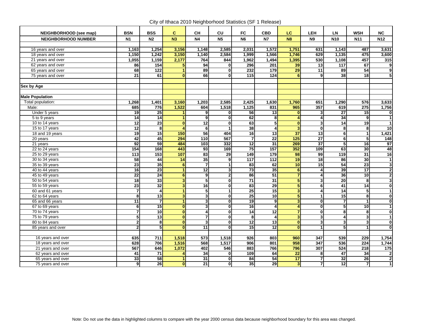City of Ithaca 2010 Neighborhood Statistics (SF 1 Release)

| NEIGHBORHOOD (see map)     | <b>BSN</b>              | <b>BSS</b>              | C                       | <b>CH</b>       | CU                      | <b>FC</b>               | <b>CBD</b>              | LC.                     | <b>LEH</b>              | <b>LN</b>               | <b>WSH</b>              | <b>NC</b>               |
|----------------------------|-------------------------|-------------------------|-------------------------|-----------------|-------------------------|-------------------------|-------------------------|-------------------------|-------------------------|-------------------------|-------------------------|-------------------------|
| <b>NEIGHBORHOOD NUMBER</b> | <b>N1</b>               | N <sub>2</sub>          | N3                      | N <sub>4</sub>  | N <sub>5</sub>          | N <sub>6</sub>          | <b>N7</b>               | <b>N8</b>               | <b>N9</b>               | <b>N10</b>              | <b>N11</b>              | N12                     |
|                            |                         |                         |                         |                 |                         |                         |                         |                         |                         |                         |                         |                         |
| 16 years and over          | 1,163                   | 1,254                   | 3,156                   | 1,148           | 2,585                   | 2,031                   | 1,572                   | 1,751                   | 631                     | 1,143                   | 487                     | 3,631                   |
| 18 years and over          | 1,150                   | 1,242                   | 3,150                   | 1,140           | 2,584                   | 1,999                   | 1,566                   | 1,746                   | 629                     | 1,135                   | 475                     | 3,600                   |
| 21 years and over          | 1,055                   | 1,159                   | 2,177                   | 764             | 844                     | 1,962                   | 1,494                   | 1,395                   | 530                     | 1,108                   | 457                     | 315                     |
| 62 years and over          | 86                      | 154                     | 5 <sub>5</sub>          | 94              | $\mathbf 0$             | 296                     | 201                     | 39                      | 13                      | 117                     | 67                      | 9                       |
| 65 years and over          | 68                      | 122                     | $\blacktriangleleft$    | 89              | $\mathbf 0$             | 232                     | 179                     | $\overline{29}$         | 11                      | 89                      | 54                      | $\overline{\mathbf{9}}$ |
| 75 years and over          | 21                      | 61                      | $\mathbf{0}$            | 66              | $\mathbf{0}$            | 115                     | 124                     | 6                       | 9                       | 38                      | $\overline{\mathbf{a}}$ | $\overline{\mathbf{5}}$ |
|                            |                         |                         |                         |                 |                         |                         |                         |                         |                         |                         |                         |                         |
| Sex by Age                 |                         |                         |                         |                 |                         |                         |                         |                         |                         |                         |                         |                         |
|                            |                         |                         |                         |                 |                         |                         |                         |                         |                         |                         |                         |                         |
| <b>Male Population</b>     |                         |                         |                         |                 |                         |                         |                         |                         |                         |                         |                         |                         |
| Total population:          | 1,268                   | 1,401                   | 3,160                   | 1,203           | 2,585                   | 2,425                   | 1,630                   | 1,760                   | 651                     | 1,290                   | 576                     | 3,633                   |
| Male:                      | 685                     | 776                     | 1,522                   | 604             | 1,518                   | 1,125                   | 831                     | 965                     | 357                     | 619                     | $\overline{275}$        | 1,756                   |
| Under 5 years              | 19                      | $\overline{25}$         |                         | 9 <sub>l</sub>  | 0                       | 56                      | 13                      | $\mathbf{0}$            | $\mathbf{3}$            | $\overline{27}$         | 15                      | $\overline{\mathbf{0}}$ |
| 5 to 9 years               | $\overline{14}$         | $\overline{14}$         | 1                       | 9 <sub>l</sub>  | 0                       | 62                      | 8                       | Δ                       | $\overline{4}$          | $\overline{34}$         | 9                       | $\overline{1}$          |
| 10 to 14 years             | 12                      | 23                      | $\mathbf{0}$            | 12              | $\mathbf{0}$            | 63                      | 5                       | $\mathbf{0}$            | $\overline{3}$          | 14                      | 19                      | $\overline{1}$          |
| 15 to 17 years             | $\overline{12}$         | 8                       |                         | 6               |                         | 38                      | $\overline{\mathbf{4}}$ | 3                       | $\mathbf{0}$            | 8                       | 8                       | $\overline{10}$         |
| 18 and 19 years            | 19                      | 15                      | 150                     | 56              | 404                     | 16                      | 13                      | $\overline{37}$         | 13                      | 6                       | 1                       | 1,421                   |
| 20 years                   | 42                      | 45                      | 294                     | $\frac{1}{10}$  | 567                     | $\overline{7}$          | $\overline{22}$         | $\overline{125}$        | $\overline{27}$         | 6                       | 5                       | 148                     |
| 21 years                   | 92                      | 59                      | 484                     | 103             | 332                     | 12                      | 31                      | 269                     | $\overline{37}$         | 5                       | 16                      | 97                      |
| 22 to 24 years             | 154                     | 168                     | 443                     | 93              | 169                     | 75                      | 157                     | 352                     | 109                     | 63                      | 30                      | 48                      |
| 25 to 29 years             | $\overline{113}$        | 153                     | 107                     | 83              | $\overline{29}$         | 149                     | 179                     | 98                      | 99                      | 119                     | 31                      | 16                      |
| 30 to 34 years             | 58                      | 44                      | 14                      | 35              | $\overline{9}$          | 117                     | $\overline{112}$        | 19                      | 18                      | 86                      | 30                      | $\overline{1}$          |
| 35 to 39 years             | $\overline{23}$         | 35                      | 6                       | $\overline{7}$  | 1                       | 83                      | 62                      | 10                      | 15                      | 54                      | $\overline{23}$         | $\overline{\mathbf{3}}$ |
| 40 to 44 years             | 16                      | $\overline{23}$         | $\blacktriangleleft$    | $\overline{12}$ | 3                       | 73                      | 35                      | 6                       | $\overline{\mathbf{A}}$ | 39                      | 17                      | $\overline{\mathbf{2}}$ |
| 45 to 49 years             | $\overline{22}$         | 24                      | 6 <sup>1</sup>          | 9               | $\mathbf 2$             | 86                      | 51                      | $\overline{7}$          | $\overline{\mathbf{4}}$ | 36                      | 10                      | $\overline{2}$          |
| 50 to 54 years             | 18                      | 33                      | $\overline{\mathbf{3}}$ | $\overline{5}$  | $\overline{\mathbf{0}}$ | $\overline{71}$         | 31                      | $\overline{\mathbf{5}}$ | 3                       | 20                      | $\overline{\mathbf{8}}$ | $\overline{\mathbf{3}}$ |
| 55 to 59 years             | $\overline{23}$         | 32                      | 3 <sup>1</sup>          | 16              | $\overline{\mathbf{0}}$ | 83                      | 29                      | 5                       | 6                       | 41                      | 14                      | $\overline{\mathbf{0}}$ |
| 60 and 61 years            | $\overline{\mathbf{z}}$ | $\overline{\mathbf{4}}$ | 1                       | 5               | 1                       | 25                      | 15                      | $\overline{\mathbf{3}}$ | $\pmb{4}$               | 14                      | $\overline{5}$          | $\overline{1}$          |
| 62 to 64 years             | 8                       | 13                      | 3 <sup>1</sup>          | 3               | 0                       | 25                      | 10                      | 5 <sup>1</sup>          | $\mathbf{1}$            | 15                      | 8                       | $\overline{\mathbf{0}}$ |
| 65 and 66 years            | 11                      | $\overline{\mathbf{7}}$ | 1                       | 3               | $\overline{\mathbf{0}}$ | 19                      | $\overline{9}$          | 3 <sup>1</sup>          | $\overline{0}$          | $\overline{7}$          | 1                       | $\overline{\mathbf{0}}$ |
| 67 to 69 years             | 6                       | 15                      | $\mathbf{0}$            | 3               | 0                       | 16                      | $\overline{\mathbf{4}}$ | 4                       | $\mathbf{0}$            | 5                       | $\overline{10}$         | $\overline{1}$          |
| 70 to 74 years             | 7                       | 10                      | $\overline{0}$          | $\overline{4}$  | $\overline{\mathbf{0}}$ | 14                      | 12                      | $\overline{\mathbf{z}}$ | $\overline{0}$          | 8                       | 8                       | $\overline{\mathbf{0}}$ |
| 75 to 79 years             | $\overline{\mathbf{5}}$ | $\overline{13}$         | $\overline{0}$          | $\overline{7}$  | $\mathbf{0}$            | $\overline{\mathbf{8}}$ | $\overline{4}$          | 3 <sup>1</sup>          | $\overline{3}$          | $\overline{4}$          | 3                       | $\overline{1}$          |
| 80 to 84 years             | $\overline{2}$          | 8                       | $\mathbf{0}$            | 3 <sup>1</sup>  | $\mathbf{0}$            | $\overline{12}$         | 13                      | $\Omega$                | 3 <sup>1</sup>          | $\overline{\mathbf{3}}$ | 3                       | $\overline{\mathbf{0}}$ |
| 85 years and over          | $\overline{2}$          | 5                       | $\mathbf{0}$            | 11              | $\overline{\mathbf{0}}$ | 15                      | $\overline{12}$         | $\mathbf{0}$            | $\overline{1}$          | 5                       | $\overline{1}$          | $\overline{\mathbf{0}}$ |
|                            |                         |                         |                         |                 |                         |                         |                         |                         |                         |                         |                         |                         |
| 16 years and over          | 635                     | 711                     | 1,518                   | 573             | 1,518                   | $\overline{926}$        | 803                     | 960                     | 347                     | 539                     | 229                     | 1,754                   |
| 18 years and over          | 628                     | 706                     | 1,516                   | 568             | 1,517                   | 906                     | 801                     | 958                     | 347                     | 536                     | 224                     | 1,744                   |
| 21 years and over          | 567                     | 646                     | 1,072                   | 402             | 546                     | 883                     | 766                     | 796                     | 307                     | 524                     | 218                     | 175                     |
| 62 years and over          | 41                      | 71                      |                         | 34              | 0                       | 109                     | 64                      | $\overline{22}$         | 8                       | 47                      | 34                      | $\overline{\mathbf{2}}$ |
| 65 years and over          | 33                      | 58                      | 1                       | 31              | 0                       | 84                      | 54                      | 17                      | $\overline{\mathbf{7}}$ | 32                      | $\overline{26}$         | $\overline{\mathbf{2}}$ |
| 75 years and over          | 9                       | 26                      | $\mathbf{0}$            | $\overline{21}$ | $\overline{\mathbf{0}}$ | 35                      | 29                      | 3 <sup>1</sup>          | 7                       | 12                      | $\overline{\mathbf{7}}$ | $\overline{1}$          |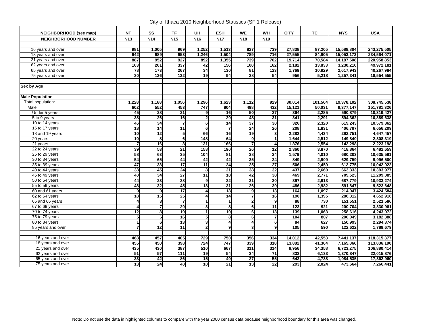City of Ithaca 2010 Neighborhood Statistics (SF 1 Release)

| NEIGHBORHOOD (see map)     | <b>NT</b>                | SS                      | <b>TF</b>       | <b>UH</b>               | <b>ESH</b>      | <b>WE</b>               | <b>WH</b>       | <b>CITY</b> | <b>TC</b> | <b>NYS</b> | <b>USA</b>  |
|----------------------------|--------------------------|-------------------------|-----------------|-------------------------|-----------------|-------------------------|-----------------|-------------|-----------|------------|-------------|
| <b>NEIGHBORHOOD NUMBER</b> | N <sub>13</sub>          | N14                     | N <sub>15</sub> | N <sub>16</sub>         | <b>N17</b>      | N <sub>18</sub>         | N <sub>19</sub> |             |           |            |             |
|                            |                          |                         |                 |                         |                 |                         |                 |             |           |            |             |
| 16 years and over          | 981                      | 1,005                   | 969             | 1,252                   | 1,513           | 827                     | 739             | 27,838      | 87,205    | 15,588,804 | 243,275,505 |
| 18 years and over          | 942                      | 989                     | 953             | 1,246                   | 1,504           | 789                     | 716             | 27,555      | 84.905    | 15,053,173 | 234,564,071 |
| 21 years and over          | 887                      | 952                     | 927             | 892                     | 1,355           | 739                     | 702             | 19,714      | 70,584    | 14,187,508 | 220,958,853 |
| 62 years and over          | 103                      | 201                     | 337             | 42                      | 156             | 100                     | 162             | 2,182       | 13,833    | 3,230,210  | 49,972,181  |
| 65 years and over          | $\overline{78}$          | 173                     | 267             | 34                      | 130             | 81                      | 123             | 1,769       | 10,929    | 2,617,943  | 40,267,984  |
| 75 years and over          | 30                       | 126                     | 132             | 19                      | 94              | 38                      | 54              | 956         | 5,218     | 1,257,341  | 18,554,555  |
|                            |                          |                         |                 |                         |                 |                         |                 |             |           |            |             |
| Sex by Age                 |                          |                         |                 |                         |                 |                         |                 |             |           |            |             |
|                            |                          |                         |                 |                         |                 |                         |                 |             |           |            |             |
| <b>Male Population</b>     |                          |                         |                 |                         |                 |                         |                 |             |           |            |             |
| Total population:          | 1,228                    | 1,188                   | 1,056           | 1,296                   | 1,623           | 1,112                   | 929             | 30,014      | 101,564   | 19,378,102 | 308,745,538 |
| Male:                      | 602                      | 552                     | 453             | 747                     | 804             | 498                     | 432             | 15,121      | 50,031    | 9,377,147  | 151,781,326 |
| Under 5 years              | 45                       | $\overline{28}$         | 21              | 9 <sub>l</sub>          | 16              | 50                      | $\overline{27}$ | 364         | 2,285     | 590,879    | 10,319,427  |
| 5 to 9 years               | 38                       | $\overline{26}$         | 16              | $\mathbf{2}$            | 20              | 48                      | $\overline{31}$ | 341         | 2,291     | 594.362    | 10,389,638  |
| 10 to 14 years             | 46                       | $\overline{34}$         | $\overline{7}$  | 6                       | 14              | $\overline{37}$         | 30              | 326         | 2,320     | 619,243    | 10,579,862  |
| 15 to 17 years             | $\overline{\mathbf{18}}$ | 14                      | $\overline{11}$ | 6 <sup>1</sup>          | $\overline{7}$  | $\overline{24}$         | $\overline{26}$ | 208         | 1,831     | 406,797    | 6,656,209   |
| 18 and 19 years            | 10                       | 12                      | 5               | 66                      | 16              | 19                      | 3               | 2,282       | 4,434     | 292,751    | 4,647,457   |
| 20 years                   | 10                       | 8                       | 6               | 148                     | 64              | 9                       | 1               | 1,644       | 2,512     | 149,840    | 2,308,319   |
| 21 years                   | $\overline{7}$           | 16                      | 8               | 131                     | 166             | $\overline{\mathbf{z}}$ | 4               | 1,876       | 2,554     | 143,298    | 2,223,198   |
| 22 to 24 years             | 39                       | 53                      | $\overline{21}$ | 158                     | 190             | $\overline{26}$         | $\overline{12}$ | 2,360       | 3,870     | 418,864    | 6,482,659   |
| 25 to 29 years             | 58                       | 63                      | 35              | 104                     | $\overline{81}$ | 38                      | 24              | 1,579       | 4,010     | 680,203    | 10,635,591  |
| 30 to 34 years             | 54                       | 65                      | 44              | 42                      | 42              | 35                      | 24              | 849         | 2,909     | 629,759    | 9,996,500   |
| 35 to 39 years             | 47                       | 33                      | $\overline{17}$ | $\overline{11}$         | $\overline{24}$ | $\overline{25}$         | $\overline{27}$ | 506         | 2,459     | 613,775    | 10,042,022  |
| 40 to 44 years             | 38                       | 45                      | 24              | 8                       | $\overline{21}$ | 38                      | 32              | 437         | 2,660     | 663,333    | 10,393,977  |
| 45 to 49 years             | 40                       | 34                      | $\overline{27}$ | 11                      | $\overline{18}$ | 42                      | 38              | 469         | 2,771     | 709,523    | 11,209,085  |
| 50 to 54 years             | 44                       | 23                      | 38              | $\overline{9}$          | $\overline{22}$ | 31                      | 30              | 397         | 2,913     | 687,779    | 10,933,274  |
| 55 to 59 years             | 48                       | 32                      | 45              | 13                      | $\overline{31}$ | $\overline{26}$         | 39              | 486         | 2,982     | 591,847    | 9,523,648   |
| 60 and 61 years            | $\overline{9}$           | g                       | $\overline{17}$ | 4                       | $\overline{18}$ | $\overline{9}$          | $\overline{13}$ | 164         | 1,097     | 214,047    | 3,424,584   |
| 62 to 64 years             | 18                       | 15                      | 25              | 4                       | $\overline{14}$ | $\overline{7}$          | 16              | 190         | 1,395     | 286,312    | 4,652,916   |
| 65 and 66 years            | $\overline{4}$           | $\overline{\mathbf{3}}$ | $\overline{7}$  | 1                       | 1               | $\overline{2}$          | $\overline{9}$  | 88          | 730       | 151,551    | 2,521,586   |
| 67 to 69 years             | 4                        | 7                       | $\overline{20}$ | 3 <sup>1</sup>          | 8               | $\overline{\mathbf{6}}$ | $\overline{11}$ | 123         | 921       | 200,704    | 3,330,961   |
| 70 to 74 years             | 12                       | 8                       | 19              | $\overline{1}$          | 10              | $6\overline{6}$         | 13              | 139         | 1,063     | 258,616    | 4,243,972   |
| 75 to 79 years             | 5                        | 6                       | 16              | 5                       | 8               | $\overline{\mathbf{6}}$ | 7               | 104         | 807       | 200,049    | 3,182,388   |
| 80 to 84 years             | $\mathbf{1}$             | 6                       | $\overline{13}$ | $\overline{\mathbf{3}}$ | 4               | $\overline{4}$          | 6               | 84          | 627       | 150,993    | 2,294,374   |
| 85 years and over          | 7                        | 12                      | 11              | $\overline{2}$          | $\overline{9}$  | $\overline{\mathbf{3}}$ | 9               | 105         | 590       | 122,622    | 1,789,679   |
|                            |                          |                         |                 |                         |                 |                         |                 |             |           |            |             |
| 16 years and over          | 468                      | 457                     | 405             | 729                     | 750             | 356                     | 334             | 14.012      | 42.553    | 7,441,137  | 118,315,377 |
| 18 years and over          | 455                      | 450                     | 398             | 724                     | 747             | 339                     | 318             | 13,882      | 41,304    | 7,165,866  | 113,836,190 |
| 21 years and over          | 435                      | 430                     | 387             | 510                     | 667             | 311                     | 314             | 9,956       | 34,358    | 6,723,275  | 106,880,414 |
| 62 years and over          | 51                       | 57                      | 111             | 19                      | 54              | 34                      | $\overline{71}$ | 833         | 6,133     | 1,370,847  | 22,015,876  |
| 65 years and over          | 33                       | 42                      | 86              | 15                      | 40              | $\overline{27}$         | 55              | 643         | 4,738     | 1,084,535  | 17,362,960  |
| 75 years and over          | 13                       | 24                      | 40              | 10                      | $\overline{21}$ | 13                      | $\overline{22}$ | 293         | 2,024     | 473,664    | 7,266,441   |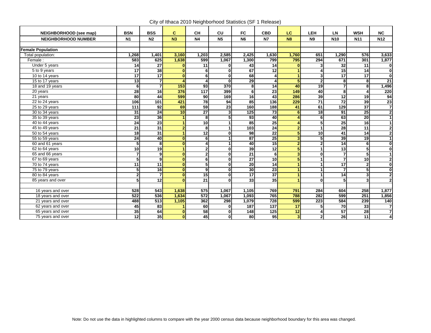City of Ithaca 2010 Neighborhood Statistics (SF 1 Release)

| NEIGHBORHOOD (see map)     | <b>BSN</b>      | <b>BSS</b>      | C.             | <b>CH</b>       | <b>CU</b>               | <b>FC</b>               | <b>CBD</b>      | <b>LC</b>        | LEH                  | LN              | <b>WSH</b>      | <b>NC</b>               |
|----------------------------|-----------------|-----------------|----------------|-----------------|-------------------------|-------------------------|-----------------|------------------|----------------------|-----------------|-----------------|-------------------------|
| <b>NEIGHBORHOOD NUMBER</b> | N <sub>1</sub>  | N <sub>2</sub>  | N <sub>3</sub> | N <sub>4</sub>  | N <sub>5</sub>          | <b>N6</b>               | <b>N7</b>       | <b>N8</b>        | <b>N9</b>            | <b>N10</b>      | <b>N11</b>      | <b>N12</b>              |
|                            |                 |                 |                |                 |                         |                         |                 |                  |                      |                 |                 |                         |
| <b>Female Population</b>   |                 |                 |                |                 |                         |                         |                 |                  |                      |                 |                 |                         |
| Total population:          | 1,268           | 1,401           | 3,160          | 1,203           | 2,585                   | 2,425                   | 1,630           | 1,760            | 651                  | 1,290           | 576             | 3,633                   |
| Female:                    | 583             | 625             | 1,638          | 599             | 1,067                   | 1,300                   | 799             | 795              | 294                  | 671             | 301             | 1,877                   |
| Under 5 years              | 14              | $\overline{27}$ | $\bf{0}$       | 11              | $\mathbf{0}$            | 43                      | 14              | $\mathbf{0}$     | 3 <sup>1</sup>       | 32              | 11              | $\mathbf{0}$            |
| 5 to 9 years               | 17              | 38              | $\Omega$       | 6               | $\mathbf{0}$            | 67                      | 12              |                  | 4                    | 15              | 14              | $\overline{\mathbf{0}}$ |
| 10 to 14 years             | $\overline{17}$ | $\overline{17}$ | $\mathbf{0}$   | 6               | $\mathbf{0}$            | 68                      | 4               |                  | 3 <sup>1</sup>       | $\overline{17}$ | 17              | $\overline{\mathbf{0}}$ |
| 15 to 17 years             | 13              | $\overline{7}$  |                | 4               | $\mathbf{0}$            | 29                      | 4               | 5                | 2 <sup>1</sup>       | 8               | 8               | $\overline{21}$         |
| 18 and 19 years            | 6               | $\overline{7}$  | 153            | 93              | 370                     | $\overline{\mathbf{8}}$ | 14              | 40               | 19                   | $\overline{7}$  | 8               | 1,496                   |
| 20 years                   | $\overline{28}$ | 16              | 376            | 117             | 399                     | 6                       | 23              | 149              | 40                   | 8               | 4               | 220                     |
| 21 years                   | $\overline{80}$ | 44              | 599            | 90              | 169                     | 16                      | 43              | 286              | 39                   | $\overline{12}$ | 19              | 94                      |
| 22 to 24 years             | 106             | 101             | 421            | 78              | 94                      | 85                      | 136             | $\overline{229}$ | $\overline{71}$      | 72              | 39              | $\frac{23}{7}$          |
| 25 to 29 years             | 111             | 92              | 69             | 59              | 23                      | 160                     | 188             | 41               | 61                   | 129             | $\overline{37}$ |                         |
| 30 to 34 years             | 31              | $\overline{24}$ | 10             | $\overline{27}$ | $\overline{\mathbf{3}}$ | $\overline{125}$        | $\overline{73}$ | 6                | 18                   | 91              | 25              | $\overline{\mathbf{2}}$ |
| 35 to 39 years             | $\overline{23}$ | 36              |                | 8               | 5                       | 93                      | 40              |                  | $\overline{6}$       | 63              | 20              | $\overline{1}$          |
| 40 to 44 years             | 24              | 23              |                | 10              |                         | 85                      | 25              |                  | 5 <sub>1</sub>       | 25              | 16              | $\mathbf{1}$            |
| 45 to 49 years             | $\overline{21}$ | 31              | $\overline{2}$ | 8               |                         | 103                     | $\overline{24}$ | $\overline{2}$   | $\mathbf{1}$         | 28              | 11              | $\overline{\mathbf{2}}$ |
| 50 to 54 years             | $\overline{18}$ | 31              |                | $\overline{12}$ | $\mathbf{0}$            | 98                      | 22              | 5                | 10                   | 41              | 14              | $\overline{2}$          |
| 55 to 59 years             | 24              | 40              | $\mathbf{0}$   | 6               |                         | $\overline{87}$         | 25              | 3                | 5                    | 39              | 19              | $\overline{1}$          |
| 60 and 61 years            | 5               | 8               | $\mathbf{0}$   | 4               |                         | 40                      | 15              | $\overline{2}$   | $\overline{2}$       | $\overline{14}$ | 6               | $\overline{\mathbf{0}}$ |
| $62$ to 64 years           | 10              | 19              |                | $\mathbf{2}$    | $\mathbf{0}$            | 39                      | $\overline{12}$ | 5                | $\mathbf{1}$         | $\overline{13}$ | 5               | $\overline{\mathbf{0}}$ |
| 65 and 66 years            | $\overline{7}$  | 9 <sup>1</sup>  | $\mathbf{0}$   | $\mathbf{2}$    | $\mathbf{0}$            | $\overline{21}$         | 6               | 3                | $\mathbf{0}$         | $\overline{ }$  | 5               | $\overline{1}$          |
| 67 to 69 years             | 5               | $\overline{9}$  | $\mathbf{0}$   | 6               | $\overline{0}$          | $\overline{27}$         | 10              | 5                | $\mathbf{1}$         | 7               | 10              | $\overline{\mathbf{2}}$ |
| 70 to 74 years             | 11              | 11              | $\mathbf{0}$   | 5               | $\mathbf{0}$            | 20                      | 14              |                  | $\blacktriangleleft$ | 17              | $\overline{2}$  | $\overline{\mathbf{0}}$ |
| 75 to 79 years             | 5               | 16              | $\mathbf{0}$   | 9               | $\overline{0}$          | 30                      | 23              | и                | $\mathbf{1}$         |                 | 5               | $\overline{\mathbf{0}}$ |
| 80 to 84 years             | $\mathbf{2}$    | $\overline{7}$  | $\mathbf{0}$   | 15              | $\mathbf{0}$            | $\overline{17}$         | $\overline{37}$ |                  | $\mathbf{1}$         | 14              | 3               | $\frac{2}{2}$           |
| 85 years and over          | 5               | $\overline{12}$ | $\mathbf{0}$   | 21              | $\mathbf{0}$            | 33                      | 35              |                  | $\mathbf{0}$         | 5 <sup>1</sup>  | 3               |                         |
|                            |                 |                 |                |                 |                         |                         |                 |                  |                      |                 |                 |                         |
| 16 years and over          | 528             | 543             | 1,638          | 575             | 1,067                   | 1,105                   | 769             | 791              | 284                  | 604             | 258             | 1,877                   |
| 18 years and over          | 522             | 536             | 1,634          | 572             | 1,067                   | 1,093                   | 765             | 788              | 282                  | 599             | 251             | 1,856                   |
| 21 years and over          | 488             | 513             | 1,105          | 362             | 298                     | 1,079                   | 728             | 599              | $\overline{223}$     | 584             | 239             | $\frac{1}{140}$         |
| 62 years and over          | 45              | 83              |                | 60              | 0                       | 187                     | 137             | 17               | 5 <sup>1</sup>       | 70              | 33              | $\overline{7}$          |
| 65 years and over          | 35              | 64              | $\Omega$       | 58              | $\mathbf{0}$            | 148                     | 125             | 12               | 4                    | 57              | 28              | $\overline{\mathbf{7}}$ |
| 75 years and over          | 12              | 35              | $\bf{0}$       | 45              | $\mathbf{0}$            | 80                      | 95              | 3 <sup>1</sup>   | 2 <sup>1</sup>       | 26              | $\overline{11}$ | $\overline{\mathbf{4}}$ |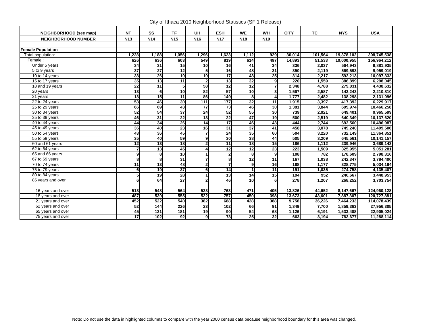City of Ithaca 2010 Neighborhood Statistics (SF 1 Release)

| NEIGHBORHOOD (see map)     | <b>NT</b>       | SS                      | <b>TF</b>       | <b>UH</b>       | <b>ESH</b>        | <b>WE</b>               | WH              | <b>CITY</b> | <b>TC</b> | <b>NYS</b> | <b>USA</b>  |
|----------------------------|-----------------|-------------------------|-----------------|-----------------|-------------------|-------------------------|-----------------|-------------|-----------|------------|-------------|
| <b>NEIGHBORHOOD NUMBER</b> | N <sub>13</sub> | N14                     | <b>N15</b>      | N <sub>16</sub> | <b>N17</b>        | <b>N18</b>              | <b>N19</b>      |             |           |            |             |
|                            |                 |                         |                 |                 |                   |                         |                 |             |           |            |             |
| <b>Female Population</b>   |                 |                         |                 |                 |                   |                         |                 |             |           |            |             |
| Total population:          | 1,228           | 1,188                   | 1,056           | 1,296           | 1,623             | 1,112                   | 929             | 30,014      | 101,564   | 19,378,102 | 308,745,538 |
| Female:                    | 626             | 636                     | 603             | 549             | 819               | 614                     | 497             | 14,893      | 51,533    | 10,000,955 | 156,964,212 |
| Under 5 years              | 34              | $\overline{31}$         | 15              | $\overline{10}$ | 16                | $\overline{41}$         | 34              | 336         | 2,037     | 564,943    | 9,881,935   |
| 5 to 9 years               | 37              | $\overline{27}$         | $\overline{12}$ | 5 <sup>1</sup>  | 16                | 48                      | $\overline{31}$ | 350         | 2,119     | 569,593    | 9,959,019   |
| 10 to 14 years             | 33              | 26                      | 10              | $\overline{10}$ | $\overline{17}$   | 43                      | 25              | 314         | 2,217     | 592,213    | 10,097,332  |
| 15 to 17 years             | 35              | $\overline{13}$         | 11              | $\overline{2}$  | 13                | 32                      | 9               | 220         | 1,559     | 386,899    | 6,298,045   |
| 18 and 19 years            | $\overline{22}$ | $\overline{11}$         | 5 <sub>l</sub>  | 58              | $\overline{12}$   | $\overline{12}$         | 7               | 2,348       | 4,788     | 279,831    | 4,438,632   |
| 20 years                   | 13              | 6                       | 10              | $\overline{82}$ | 57                | 10                      | 3               | 1,567       | 2,587     | 143,243    | 2,210,810   |
| 21 years                   | $\overline{13}$ | 15                      | $\overline{11}$ | 86              | $\frac{149}{149}$ | $\overline{\mathbf{8}}$ | 4               | 1.777       | 2,482     | 138,298    | 2,131,096   |
| 22 to 24 years             | 53              | 46                      | 30              | 111             | $\frac{1}{177}$   | 32                      | 11              | 1,915       | 3,397     | 417,392    | 6,229,917   |
| 25 to 29 years             | 66              | 69                      | 43              | $\overline{77}$ | 73                | 46                      | 30              | 1,381       | 3,844     | 699,974    | 10,466,258  |
| 30 to 34 years             | 52              | 54                      | $\overline{37}$ | $\overline{24}$ | 52                | 55                      | 30              | 739         | 2,921     | 649,401    | 9,965,599   |
| 35 to 39 years             | 46              | 31                      | $\overline{22}$ | 13              | $\overline{22}$   | 47                      | 19              | 500         | 2,519     | 640,349    | 10,137,620  |
| 40 to 44 years             | 44              | 34                      | $\overline{26}$ | $\overline{14}$ | $\overline{17}$   | 46                      | 43              | 444         | 2,744     | 692,560    | 10,496,987  |
| 45 to 49 years             | 36              | 40                      | 23              | 16              | 31                | 37                      | 41              | 458         | 3,078     | 749,240    | 11,499,506  |
| 50 to 54 years             | 43              | 36                      | 45              | $\overline{7}$  | 24                | 35                      | 60              | 504         | 3,220     | 732,149    | 11,364,851  |
| 55 to 59 years             | 35              | 40                      | 59              | 9               | 30                | 38                      | 44              | 505         | 3,209     | 645,561    | 10,141,157  |
| 60 and 61 years            | 12              | 13                      | 18              | $\overline{2}$  | $\overline{11}$   | $\overline{18}$         | 15              | 186         | 1,112     | 239,946    | 3,689,143   |
| 62 to 64 years             | $\overline{7}$  | 13                      | 45              | 4               | 12                | 12                      | 23              | 223         | 1,509     | 325,955    | 5,051,281   |
| 65 and 66 years            | 9               | 8                       | 10              |                 | $\mathbf 2$       | 8                       | 9 <sub>l</sub>  | 108         | 782       | 178,609    | 2,798,316   |
| 67 to 69 years             | 8               | $\overline{\mathbf{8}}$ | 31              | $\overline{7}$  | 8                 | 12                      | $\overline{11}$ | 167         | 1,038     | 242,347    | 3,784,400   |
| 70 to 74 years             | 11              | 13                      | 48              | $\overline{2}$  | $\overline{7}$    | 9                       | 16              | 188         | 1,177     | 328,775    | 5,034,194   |
| 75 to 79 years             | 6               | 19                      | 37              | 6               | 14                | $\overline{1}$          | 11              | 191         | 1,035     | 274,758    | 4,135,407   |
| 80 to 84 years             | 5               | 19                      | 28              |                 | 13                | 14                      | 15              | 194         | 952       | 240,667    | 3,448,953   |
| 85 years and over          | 6               | 64                      | $\overline{27}$ | $\overline{2}$  | 46                | 10                      | 6               | 278         | 1,207     | 268,252    | 3,703,754   |
|                            |                 |                         |                 |                 |                   |                         |                 |             |           |            |             |
| 16 years and over          | 513             | 548                     | 564             | 523             | 763               | 471                     | 405             | 13,826      | 44,652    | 8,147,667  | 124,960,128 |
| 18 years and over          | 487             | 539                     | 555             | 522             | 757               | 450                     | 398             | 13,673      | 43,601    | 7,887,307  | 120,727,881 |
| 21 years and over          | 452             | 522                     | 540             | 382             | 688               | 428                     | 388             | 9,758       | 36,226    | 7,464,233  | 114,078,439 |
| 62 years and over          | 52              | 144                     | 226             | 23              | 102               | 66                      | 91              | 1,349       | 7,700     | 1,859,363  | 27,956,305  |
| 65 years and over          | 45              | 131                     | 181             | 19              | 90                | 54                      | 68              | 1,126       | 6,191     | 1,533,408  | 22,905,024  |
| 75 years and over          | $\overline{17}$ | 102                     | 92              | 9               | 73                | $\overline{25}$         | 32              | 663         | 3,194     | 783,677    | 11,288,114  |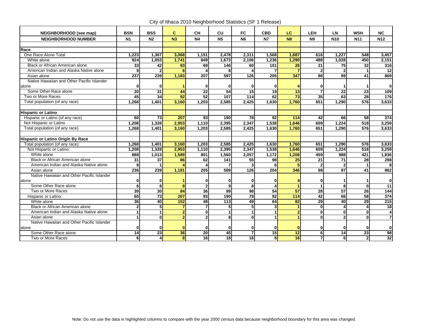City of Ithaca 2010 Neighborhood Statistics (SF 1 Release)

| NEIGHBORHOOD (see map)                     | <b>BSN</b>       | <b>BSS</b>      | C              | <b>CH</b>       | CU        | FC                      | <b>CBD</b>              | <b>LC</b>       | <b>LEH</b>              | LN              | <b>WSH</b>      | <b>NC</b>               |
|--------------------------------------------|------------------|-----------------|----------------|-----------------|-----------|-------------------------|-------------------------|-----------------|-------------------------|-----------------|-----------------|-------------------------|
| <b>NEIGHBORHOOD NUMBER</b>                 | N <sub>1</sub>   | N <sub>2</sub>  | N3             | N <sub>4</sub>  | <b>N5</b> | <b>N6</b>               | <b>N7</b>               | <b>N8</b>       | <b>N9</b>               | <b>N10</b>      | <b>N11</b>      | <b>N12</b>              |
|                                            |                  |                 |                |                 |           |                         |                         |                 |                         |                 |                 |                         |
| Race                                       |                  |                 |                |                 |           |                         |                         |                 |                         |                 |                 |                         |
| One Race Alone Total                       | 1.223            | 1,367           | 3,068          | 1,151           | 2,478     | 2,311                   | 1,568                   | 1.687           | 616                     | 1,227           | 548             | 3,457                   |
| White alone                                | 924              | 1,053           | 1,741          | 849             | 1,673     | 2,106                   | 1,236                   | 1,290           | 488                     | 1,028           | 450             | 2,151                   |
| Black or African American alone            | 33               | 42              | 93             | 69              | 146       | 60                      | 101                     | 26              | $\overline{21}$         | $\overline{75}$ | 32              | 316                     |
| American Indian and Alaska Native alone    | 9                | $\overline{2}$  |                | 4               | 8         | 4                       | 7                       |                 | $\mathbf{2}$            | $\overline{2}$  | 1               | $\overline{12}$         |
| Asian alone                                | $\overline{237}$ | 239             | 1,183          | 207             | 597       | 126                     | 205                     | 347             | $\overline{98}$         | 99              | 41              | 869                     |
| Native Hawaiian and Other Pacific Islander |                  |                 |                |                 |           |                         |                         |                 |                         |                 |                 |                         |
| alone                                      | $\bf{0}$         | 0               |                | 0               |           | 0                       | 0                       |                 | $\mathbf{0}$            |                 |                 | $\mathbf 0$             |
| Some Other Race alone                      | $\overline{20}$  | $\overline{31}$ | 44             | $\overline{22}$ | 54        | $\overline{15}$         | 19                      | $\overline{13}$ | 7                       | $\overline{22}$ | $\overline{23}$ | 109                     |
| Two or More Races                          | 45               | 34              | 92             | 52              | 107       | 114                     | 62                      | $\overline{73}$ | 35                      | 63              | 28              | 176                     |
| Total population (of any race)             | 1.268            | 1.401           | 3.160          | 1.203           | 2.585     | 2.425                   | 1,630                   | 1.760           | 651                     | 1.290           | 576             | 3,633                   |
|                                            |                  |                 |                |                 |           |                         |                         |                 |                         |                 |                 |                         |
| <b>Hispanic or Latino</b>                  |                  |                 |                |                 |           |                         |                         |                 |                         |                 |                 |                         |
| Hispanic or Latino (of any race)           | 60               | 73              | 207            | 93              | 190       | 78                      | 92                      | 114             | 42                      | 66              | 58              | 374                     |
| Not Hispanic or Latino                     | 1,208            | 1,328           | 2,953          | 1,110           | 2,395     | 2,347                   | 1,538                   | 1.646           | 609                     | 1,224           | 518             | 3,259                   |
| Total population (of any race)             | 1.268            | 1,401           | 3,160          | 1,203           | 2,585     | 2,425                   | 1,630                   | 1,760           | 651                     | 1,290           | 576             | 3,633                   |
|                                            |                  |                 |                |                 |           |                         |                         |                 |                         |                 |                 |                         |
| <b>Hispanic or Latino Origin By Race</b>   |                  |                 |                |                 |           |                         |                         |                 |                         |                 |                 |                         |
| Total population (of any race):            | 1.268            | 1.401           | 3,160          | 1.203           | 2,585     | 2,425                   | 1,630                   | 1.760           | 651                     | 1.290           | 576             | 3,633                   |
| Not Hispanic or Latino:                    | 1.208            | 1,328           | 2,953          | 1,110           | 2,395     | 2,347                   | 1,538                   | 1,646           | 609                     | 1,224           | 518             | 3,259                   |
| White alone                                | 888              | 1.013           | 1,589          | 801             | 1,560     | 2,057                   | 1.172                   | 1,208           | 459                     | 988             | 421             | 1,936                   |
| Black or African American alone            | 31               | 37              | 86             | 62              | 141       | 55                      | 98                      | 25              | 21                      | 71              | 28              | 298                     |
| American Indian and Alaska Native alone    | 8                | -1              |                | $\overline{4}$  |           | 3                       | 6                       | 5               | $\overline{\mathbf{c}}$ | 2               | 1               | $\overline{\mathbf{8}}$ |
| Asian alone                                | 236              | 239             | 1,181          | 205             | 589       | 126                     | 204                     | 346             | 98                      | $\overline{97}$ | 41              | 862                     |
| Native Hawaiian and Other Pacific Islander |                  |                 |                |                 |           |                         |                         |                 |                         |                 |                 |                         |
| alone                                      | $\bf{0}$         | 0               |                | 0               | 0         | $\bf{0}$                | $\mathbf{0}$            |                 | $\mathbf{0}$            |                 |                 | $\mathbf 0$             |
| Some Other Race alone                      | $\overline{6}$   | 8               | 8              | $\overline{2}$  | 9         | $\overline{\mathbf{8}}$ | $\overline{\mathbf{A}}$ | -4              | $\mathbf{1}$            | 8               | $\mathbf 0$     | $\overline{11}$         |
| Two or More Races                          | 39               | 30              | 84             | 36              | 89        | 98                      | 54                      | 57              | $\overline{28}$         | $\overline{57}$ | $\overline{26}$ | 144                     |
| Hispanic or Latino:                        | 60               | $\overline{73}$ | 207            | 93              | 190       | 78                      | 92                      | 114             | 42                      | 66              | 58              | 374                     |
| White alone                                | 36               | 40              | 152            | 48              | 113       | 49                      | 64                      | 82              | 29                      | 40              | 29              | 215                     |
| Black or African American alone            | $\overline{2}$   | 5 <sub>l</sub>  |                | $\overline{7}$  | 5         | $\overline{\mathbf{5}}$ | 3                       |                 | $\mathbf{0}$            |                 | 4               | 18                      |
| American Indian and Alaska Native alone    | 1                | 1               | $\overline{2}$ | $\mathbf{0}$    | 1         | $\mathbf{1}$            |                         | $\overline{2}$  | $\mathbf{0}$            | $\mathbf{0}$    | $\mathbf{0}$    | $\overline{\mathbf{4}}$ |
| Asian alone                                | 1                | $\mathbf{0}$    | $\overline{2}$ | $\mathbf{2}$    | 8         | $\mathbf{0}$            |                         | 1               | $\mathbf{0}$            | $\mathbf{2}$    | $\bf{0}$        | $\overline{\mathbf{7}}$ |
| Native Hawaiian and Other Pacific Islander |                  |                 |                |                 |           |                         |                         |                 |                         |                 |                 |                         |
| alone                                      | 0                | 0               | $\Omega$       | $\mathbf{0}$    | 0         | 0                       | 0                       | $\mathbf{0}$    | $\mathbf{0}$            | 0               | 0               | $\mathbf 0$             |
| Some Other Race alone                      | $\overline{14}$  | 23              | 36             | 20              | 45        | 7                       | 15                      | $\overline{12}$ | 6                       | $\overline{14}$ | 23              | 98                      |
| Two or More Races                          | 6                | 4               | 8              | 16              | 18        | 16                      | 8                       | 16              | $\overline{7}$          | 6               | $\mathbf{2}$    | $\overline{32}$         |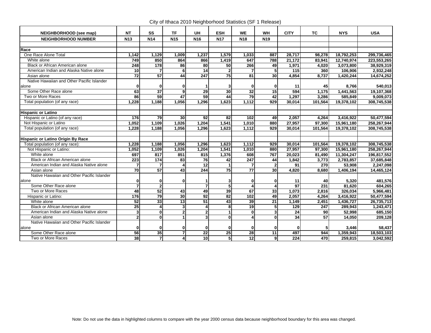City of Ithaca 2010 Neighborhood Statistics (SF 1 Release)

| <b>NEIGHBORHOOD (see map)</b>              | <b>NT</b>       | SS             | <b>TF</b>               | <b>UH</b>       | <b>ESH</b>      | <b>WE</b>       | WH              | <b>CITY</b>     | ТC      | <b>NYS</b> | <b>USA</b>  |
|--------------------------------------------|-----------------|----------------|-------------------------|-----------------|-----------------|-----------------|-----------------|-----------------|---------|------------|-------------|
| <b>NEIGHBORHOOD NUMBER</b>                 | <b>N13</b>      | <b>N14</b>     | <b>N15</b>              | <b>N16</b>      | <b>N17</b>      | <b>N18</b>      | <b>N19</b>      |                 |         |            |             |
|                                            |                 |                |                         |                 |                 |                 |                 |                 |         |            |             |
| Race                                       |                 |                |                         |                 |                 |                 |                 |                 |         |            |             |
| One Race Alone Total                       | 1,142           | 1,129          | 1.009                   | 1.237           | 1.579           | 1.033           | 887             | 28.717          | 98.278  | 18,792,253 | 299,736,465 |
| White alone                                | 749             | 850            | 864                     | 866             | 1,419           | 647             | 788             | 21,172          | 83,941  | 12,740,974 | 223,553,265 |
| Black or African American alone            | 248             | 178            | 86                      | 80              | 50              | 266             | 49              | 1,971           | 4,020   | 3,073,800  | 38,929,319  |
| American Indian and Alaska Native alone    | 10              | $\overline{7}$ | 6                       | 14              | $\overline{2}$  | $\overline{7}$  | 5 <sup>1</sup>  | 115             | 360     | 106.906    | 2.932.248   |
| Asian alone                                | $\overline{72}$ | 57             | 44                      | 247             | $\overline{75}$ | 81              | 30              | 4,854           | 8,737   | 1,420,244  | 14,674,252  |
| Native Hawaiian and Other Pacific Islander |                 |                |                         |                 |                 |                 |                 |                 |         |            |             |
| alone                                      | $\mathbf 0$     | $\mathbf{0}$   | 0                       |                 | 3               | $\mathbf 0$     | $\mathbf 0$     | 11              | 45      | 8,766      | 540,013     |
| Some Other Race alone                      | 63              | 37             | 9 <sub>l</sub>          | 29              | $\overline{30}$ | $\overline{32}$ | 15              | 594             | 1.175   | 1,441,563  | 19,107,368  |
| Two or More Races                          | 86              | 59             | $\overline{47}$         | 59              | 44              | $\overline{79}$ | 42              | 1,297           | 3,286   | 585,849    | 9,009,073   |
| Total population (of any race)             | 1.228           | 1.188          | 1,056                   | 1,296           | 1,623           | 1,112           | 929             | 30.014          | 101,564 | 19,378,102 | 308,745,538 |
|                                            |                 |                |                         |                 |                 |                 |                 |                 |         |            |             |
| <b>Hispanic or Latino</b>                  |                 |                |                         |                 |                 |                 |                 |                 |         |            |             |
| Hispanic or Latino (of any race)           | 176             | 79             | 30                      | 92              | 82              | 102             | 49              | 2,057           | 4,264   | 3,416,922  | 50,477,594  |
| Not Hispanic or Latino                     | 1.052           | 1.109          | 1.026                   | 1.204           | 1.541           | 1.010           | 880             | 27.957          | 97.300  | 15,961,180 | 258,267,944 |
| Total population (of any race)             | 1,228           | 1,188          | 1,056                   | 1,296           | 1,623           | 1,112           | 929             | 30,014          | 101,564 | 19,378,102 | 308,745,538 |
|                                            |                 |                |                         |                 |                 |                 |                 |                 |         |            |             |
| <b>Hispanic or Latino Origin By Race</b>   |                 |                |                         |                 |                 |                 |                 |                 |         |            |             |
| Total population (of any race):            | 1.228           | 1,188          | 1,056                   | 1.296           | 1,623           | 1,112           | 929             | 30,014          | 101,564 | 19,378,102 | 308,745,538 |
| Not Hispanic or Latino:                    | 1,052           | 1.109          | 1,026                   | 1,204           | 1,541           | 1,010           | 880             | 27,957          | 97,300  | 15,961,180 | 258,267,944 |
| White alone                                | 697             | 817            | 851                     | 815             | 1,376           | 608             | 767             | 20,023          | 81,490  | 11,304,247 | 196,817,552 |
| Black or African American alone            | 223             | 174            | 83                      | 76              | 42              | 247             | 44              | 1,842           | 3,773   | 2.783.857  | 37,685,848  |
| American Indian and Alaska Native alone    |                 | 7              |                         | 12              |                 | $\overline{7}$  | $\overline{2}$  | 91              | 270     | 53,908     | 2,247,098   |
| Asian alone                                | 70              | 57             | $\overline{43}$         | 244             | 75              | $\overline{77}$ | 30              | 4,820           | 8,680   | 1,406,194  | 14,465,124  |
| Native Hawaiian and Other Pacific Islander |                 |                |                         |                 |                 |                 |                 |                 |         |            |             |
| alone                                      | $\mathbf{0}$    | $\mathbf{0}$   | $\mathbf{0}$            |                 | 3               | $\mathbf 0$     | $\bf{0}$        | 11              | 40      | 5,320      | 481,576     |
| Some Other Race alone                      | $\overline{7}$  | 2 <sup>1</sup> |                         | $\overline{7}$  | $\overline{5}$  | $\overline{4}$  | 4               | 97              | 231     | 81.620     | 604,265     |
| Two or More Races                          | 48              | 52             | 43                      | 49              | 39              | 67              | 33              | 1,073           | 2,816   | 326,034    | 5,966,481   |
| Hispanic or Latino:                        | 176             | 79             | 30 <sup>°</sup>         | 92              | 82              | 102             | 49              | 2,057           | 4,264   | 3,416,922  | 50,477,594  |
| White alone                                | 52              | 33             | $\overline{13}$         | $\overline{51}$ | 43              | 39              | 21              | 1,149           | 2,451   | 1,436,727  | 26,735,713  |
| Black or African American alone            | $\overline{25}$ | $\overline{4}$ | ω                       |                 | 8               | 19              | 5               | 129             | 247     | 289,943    | 1,243,471   |
| American Indian and Alaska Native alone    | 3               | $\mathbf{0}$   | $\mathbf{2}$            | $\mathbf{2}$    | $\mathbf{1}$    | $\mathbf 0$     | 3               | 24              | 90      | 52,998     | 685,150     |
| Asian alone                                | $\mathbf{2}$    | $\mathbf{0}$   |                         | 3               | $\mathbf 0$     | 4               | $\mathbf{0}$    | $\overline{34}$ | 57      | 14.050     | 209.128     |
| Native Hawaiian and Other Pacific Islander |                 |                |                         |                 |                 |                 |                 |                 |         |            |             |
| alone                                      | $\mathbf 0$     | $\mathbf{0}$   | $\mathbf{0}$            | 0               | 0               | $\bf{0}$        | 0               | $\mathbf{0}$    | 5       | 3,446      | 58,437      |
| Some Other Race alone                      | 56              | 35             | $\overline{\mathbf{7}}$ | $\overline{22}$ | 25              | $\overline{28}$ | $\overline{11}$ | 497             | 944     | 1,359,943  | 18,503,103  |
| Two or More Races                          | 38              | $\overline{7}$ | 4                       | 10              | 5               | 12              | 9               | 224             | 470     | 259,815    | 3,042,592   |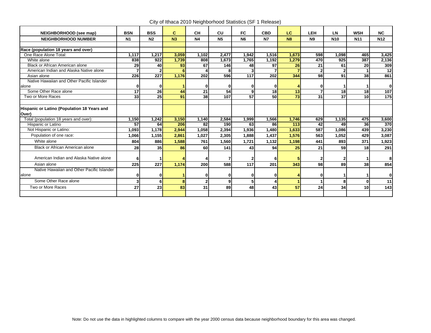City of Ithaca 2010 Neighborhood Statistics (SF 1 Release)

| NEIGHBORHOOD (see map)                      | <b>BSN</b>     | <b>BSS</b>      | C              | <b>CH</b>       | CU             | <b>FC</b>               | <b>CBD</b>     | <b>LC</b>       | LEH            | LN         | <b>WSH</b>      | <b>NC</b>       |
|---------------------------------------------|----------------|-----------------|----------------|-----------------|----------------|-------------------------|----------------|-----------------|----------------|------------|-----------------|-----------------|
| <b>NEIGHBORHOOD NUMBER</b>                  | N <sub>1</sub> | N <sub>2</sub>  | N <sub>3</sub> | N <sub>4</sub>  | N <sub>5</sub> | <b>N6</b>               | <b>N7</b>      | <b>N8</b>       | <b>N9</b>      | <b>N10</b> | <b>N11</b>      | <b>N12</b>      |
|                                             |                |                 |                |                 |                |                         |                |                 |                |            |                 |                 |
| Race (population 18 years and over)         |                |                 |                |                 |                |                         |                |                 |                |            |                 |                 |
| One Race Alone Total:                       | 1.117          | 1,217           | 3.059          | 1,102           | 2,477          | 1,942                   | 1,516          | 1.673           | 598            | 1,098      | 465             | 3,425           |
| White alone                                 | 838            | 922             | 1,739          | 808             | 1,673          | 1,765                   | 1,192          | 1,279           | 470            | 925        | 387             | 2,136           |
| Black or African American alone             | 29             | 40              | 93             | 67              | 146            | 48                      | 97             | 26              | 21             | 61         | $\overline{20}$ | 309             |
| American Indian and Alaska Native alone     | $\overline{7}$ | $\overline{2}$  |                |                 | 8              | 3                       | $\overline{ }$ |                 | $\overline{2}$ | 2          |                 | $\overline{12}$ |
| Asian alone                                 | 226            | 227             | 1.176          | 202             | 596            | 117                     | 202            | 344             | 98             | 91         | 38              | 861             |
| Native Hawaiian and Other Pacific Islander  |                |                 |                |                 |                |                         |                |                 |                |            |                 |                 |
| alone                                       | $\mathbf 0$    | $\mathbf{0}$    |                | 0               | $\mathbf{0}$   | 0                       | 0              |                 | $\mathbf{0}$   |            |                 | $\mathbf 0$     |
| Some Other Race alone                       | 17             | $\overline{26}$ | 44             | 21              | 54             | 9                       | 18             | 13              | 7              | 18         | 18              | 107             |
| Two or More Races                           | 33             | 25              | 91             | 38 <sup>1</sup> | 107            | $\overline{57}$         | 50             | $\overline{73}$ | 31             | 37         | 10              | 175             |
|                                             |                |                 |                |                 |                |                         |                |                 |                |            |                 |                 |
| Hispanic or Latino (Population 18 Years and |                |                 |                |                 |                |                         |                |                 |                |            |                 |                 |
| Over)                                       |                |                 |                |                 |                |                         |                |                 |                |            |                 |                 |
| Total (population 18 years and over):       | 1,150          | 1,242           | 3.150          | 1,140           | 2,584          | 1,999                   | 1,566          | 1.746           | 629            | 1.135      | 475             | 3,600           |
| Hispanic or Latino                          | 57             | 64              | 206            | 82              | 190            | 63                      | 86             | 113             | 42             | 49         | 36              | 370             |
| Not Hispanic or Latino:                     | 1,093          | 1,178           | 2,944          | 1,058           | 2,394          | 1,936                   | 1,480          | 1,633           | 587            | 1.086      | 439             | 3,230           |
| Population of one race:                     | 1.066          | 1,155           | 2.861          | 1,027           | 2,305          | 1.888                   | 1,437          | 1,576           | 563            | 1.052      | 429             | 3,087           |
| White alone                                 | 804            | 886             | 1.588          | 761             | 1,560          | 1.721                   | 1,132          | 1,198           | 441            | 893        | 371             | 1,923           |
| Black or African American alone             | 28             | 35              | 86             | 60              | 141            | 43                      | 94             | 25              | 21             | 59         | 18              | 291             |
| American Indian and Alaska Native alone     | 6              |                 |                |                 | 7              | $\overline{\mathbf{2}}$ | 6              |                 | $\mathbf{2}$   |            |                 | 8               |
| Asian alone                                 | 225            | 227             | 1,174          | 200             | 588            | 117                     | 201            | 343             | 98             | 89         | 38              | 854             |
| Native Hawaiian and Other Pacific Islander  |                |                 |                |                 |                |                         |                |                 |                |            |                 |                 |
| lalone                                      | $\mathbf{0}$   | $\mathbf{0}$    |                | 0               | $\mathbf{0}$   | 0                       | 0              |                 | $\mathbf{0}$   |            | 1               | 0               |
| Some Other Race alone                       | 3              | 6               | я              | $\overline{2}$  | 9              | 5                       |                |                 |                | 8          | $\bf{0}$        | 11              |
| Two or More Races                           | 27             | 23              | 83             | 31              | 89             | 48                      | 43             | 57              | 24             | 34         | 10              | 143             |
|                                             |                |                 |                |                 |                |                         |                |                 |                |            |                 |                 |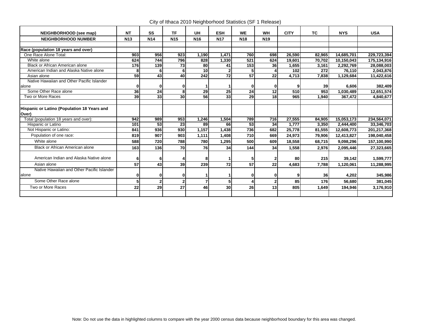City of Ithaca 2010 Neighborhood Statistics (SF 1 Release)

| NEIGHBORHOOD (see map)                      | <b>NT</b>  | SS             | <b>TF</b>  | UH         | <b>ESH</b>     | <b>WE</b>       | <b>WH</b>       | <b>CITY</b> | <b>TC</b> | <b>NYS</b> | <b>USA</b>  |
|---------------------------------------------|------------|----------------|------------|------------|----------------|-----------------|-----------------|-------------|-----------|------------|-------------|
| <b>NEIGHBORHOOD NUMBER</b>                  | <b>N13</b> | <b>N14</b>     | <b>N15</b> | <b>N16</b> | <b>N17</b>     | <b>N18</b>      | <b>N19</b>      |             |           |            |             |
|                                             |            |                |            |            |                |                 |                 |             |           |            |             |
| Race (population 18 years and over)         |            |                |            |            |                |                 |                 |             |           |            |             |
| One Race Alone Total:                       | 903        | 956            | 923        | 1.190      | 1.471          | 760             | 698             | 26.590      | 82,965    | 14,685,701 | 229,723,394 |
| White alone                                 | 624        | 744            | 796        | 828        | 1,330          | 521             | 624             | 19.601      | 70.702    | 10,150,043 | 175,134,916 |
| Black or African American alone             | 176        | 139            | 73         | 80         | 41             | 153             | 36              | 1,655       | 3,161     | 2,292,769  | 28,088,003  |
| American Indian and Alaska Native alone     | 8          | 6 <sup>1</sup> | 6          | 10         | $\overline{2}$ | 5               |                 | 102         | 272       | 76,110     | 2,043,876   |
| Asian alone                                 | 59         | 43             | 40         | 242        | 72             | 57              | 22              | 4,713       | 7,838     | 1,129,684  | 11,422,616  |
| Native Hawaiian and Other Pacific Islander  |            |                |            |            |                |                 |                 |             |           |            |             |
| lalone                                      | O          | $\mathbf{0}$   | 0          |            |                | $\bf{0}$        | 0               |             | 39        | 6,606      | 382,409     |
| Some Other Race alone                       | 36         | 24             | $\bf{8}$   | 29         | 25             | $\overline{24}$ | $\overline{12}$ | 510         | 953       | 1,030,489  | 12,651,574  |
| Two or More Races                           | 39         | 33             | 30         | 56         | 33             | 29              | 18              | 965         | 1.940     | 367,472    | 4,840,677   |
|                                             |            |                |            |            |                |                 |                 |             |           |            |             |
| Hispanic or Latino (Population 18 Years and |            |                |            |            |                |                 |                 |             |           |            |             |
| Over)                                       |            |                |            |            |                |                 |                 |             |           |            |             |
| Total (population 18 years and over):       | 942        | 989            | 953        | 1,246      | 1,504          | 789             | 716             | 27,555      | 84,905    | 15,053,173 | 234,564,071 |
| Hispanic or Latino                          | 101        | 53             | 23         | 89         | 66             | 53              | 34              | 1.777       | 3,350     | 2,444,400  | 33,346,703  |
| Not Hispanic or Latino:                     | 841        | 936            | 930        | 1.157      | 1,438          | 736             | 682             | 25,778      | 81,555    | 12,608,773 | 201,217,368 |
| Population of one race:                     | 819        | 907            | 903        | 1,111      | 1,408          | 710             | 669             | 24,973      | 79,906    | 12,413,827 | 198,040,458 |
| White alone                                 | 588        | 720            | 788        | 780        | 1,295          | 500             | 609             | 18,558      | 68,715    | 9,098,296  | 157,100,990 |
| Black or African American alone             | 163        | 136            | 70         | 76         | 34             | 144             | 34              | 1,558       | 2,976     | 2,095,446  | 27,323,665  |
|                                             |            |                |            |            |                |                 |                 |             |           |            |             |
| American Indian and Alaska Native alone     | 6          | 61             |            | 8          |                | 5               |                 | 80          | 215       | 39,142     | 1,599,777   |
| Asian alone                                 | 57         | 43             | 39         | 239        | 72             | 57              | 22              | 4,683       | 7,788     | 1,120,061  | 11,288,995  |
| Native Hawaiian and Other Pacific Islander  |            |                |            |            |                |                 |                 |             |           |            |             |
| lalone                                      | ŋ          | 0              | 0          |            | 1              | $\bf{0}$        | 0               |             | 36        | 4,202      | 345,986     |
| Some Other Race alone                       | 5          | $\mathbf{2}$   | 2          |            | 5              | 4               | $\overline{2}$  | 85          | 176       | 56,680     | 381,045     |
| Two or More Races                           | 22         | 29             | 27         | 46         | 30             | 26              | 13              | 805         | 1.649     | 194.946    | 3,176,910   |
|                                             |            |                |            |            |                |                 |                 |             |           |            |             |
|                                             |            |                |            |            |                |                 |                 |             |           |            |             |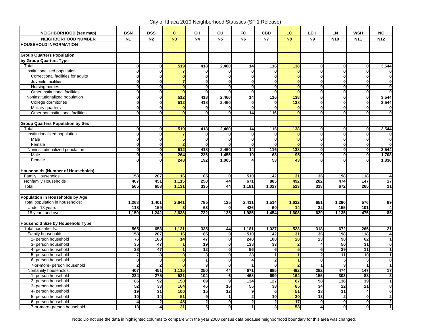City of Ithaca 2010 Neighborhood Statistics (SF 1 Release)

| NEIGHBORHOOD (see map)                   | <b>BSN</b>              | <b>BSS</b>              | C                       | CН                       | CU                      | FC                      | <b>CBD</b>              | <b>LC</b>            | LEH                     | LN                      | <b>WSH</b>              | <b>NC</b>               |
|------------------------------------------|-------------------------|-------------------------|-------------------------|--------------------------|-------------------------|-------------------------|-------------------------|----------------------|-------------------------|-------------------------|-------------------------|-------------------------|
| <b>NEIGHBORHOOD NUMBER</b>               | N <sub>1</sub>          | N <sub>2</sub>          | N <sub>3</sub>          | N <sub>4</sub>           | N <sub>5</sub>          | <b>N6</b>               | <b>N7</b>               | <b>N8</b>            | <b>N9</b>               | <b>N10</b>              | <b>N11</b>              | <b>N12</b>              |
| <b>HOUSEHOLD INFORMATION</b>             |                         |                         |                         |                          |                         |                         |                         |                      |                         |                         |                         |                         |
|                                          |                         |                         |                         |                          |                         |                         |                         |                      |                         |                         |                         |                         |
| <b>Group Quarters Population</b>         |                         |                         |                         |                          |                         |                         |                         |                      |                         |                         |                         |                         |
| by Group Quarters Type                   |                         |                         |                         |                          |                         |                         |                         |                      |                         |                         |                         |                         |
| Total                                    | $\mathbf 0$             | $\mathbf{0}$            | 519                     | 418                      | 2,460                   | 14                      | 116                     | 138                  | $\mathbf{0}$            | $\mathbf{0}$            | 0                       | 3,544                   |
| Institutionalized population             | $\mathbf{0}$            | $\mathbf{0}$            |                         | $\mathbf{0}$             | 0                       | 0                       | $\mathbf{0}$            | $\mathbf{0}$         | $\mathbf{0}$            | $\mathbf 0$             | $\mathbf 0$             | $\mathbf 0$             |
| Correctional facilities for adults       | $\overline{\mathbf{0}}$ | $\overline{\mathbf{0}}$ | $\mathbf{0}$            | $\overline{\mathbf{0}}$  | $\overline{\mathbf{0}}$ | $\overline{\mathbf{0}}$ | $\overline{\mathbf{0}}$ | $\mathbf{0}$         | $\overline{\mathbf{0}}$ | $\overline{\mathbf{0}}$ | $\overline{\mathbf{0}}$ | $\overline{\mathbf{0}}$ |
| Juvenile facilities                      | $\mathbf 0$             | $\mathbf{0}$            | $\overline{7}$          | $\mathbf{0}$             | $\mathbf{0}$            | $\mathbf 0$             | $\mathbf{0}$            | $\mathbf{0}$         | $\mathbf{0}$            | $\mathbf{0}$            | $\mathbf{0}$            | $\pmb{0}$               |
| Nursing homes                            | $\bf{0}$                | $\overline{\mathbf{0}}$ | $\overline{\mathbf{0}}$ | $\overline{\mathbf{0}}$  | $\overline{\mathbf{0}}$ | $\overline{\mathbf{0}}$ | $\overline{\mathbf{0}}$ | $\overline{0}$       | $\overline{0}$          | 0                       | $\overline{\mathbf{0}}$ | $\overline{\mathbf{0}}$ |
| Other institutional facilities           | $\mathbf 0$             | $\mathbf{0}$            | $\mathbf{0}$            | $\mathbf{0}$             | $\mathbf{0}$            | $\mathbf 0$             | $\mathbf{0}$            | $\mathbf{0}$         | $\mathbf{0}$            | $\mathbf 0$             | $\mathbf{0}$            | $\overline{\mathbf{0}}$ |
| Noninstitutionalized population          | $\overline{\mathbf{0}}$ | $\overline{\mathbf{0}}$ | 512                     | 418                      | 2,460                   | 14                      | 116                     | 138                  | $\overline{0}$          | $\overline{0}$          | $\overline{\mathbf{0}}$ | 3,544                   |
| College dormitories                      | $\mathbf 0$             | $\mathbf{0}$            | 512                     | 418                      | 2,460                   | 0                       | $\mathbf 0$             | 138                  | $\mathbf{0}$            | $\mathbf{0}$            | $\mathbf 0$             | 3,544                   |
| Military quarters                        | $\overline{\mathbf{0}}$ | $\overline{\mathbf{0}}$ | $\mathbf{0}$            | $\mathbf{0}$             | 0                       | $\overline{\mathbf{0}}$ | $\overline{\mathbf{0}}$ | $\mathbf{0}$         | $\overline{0}$          | $\mathbf{0}$            | $\overline{\mathbf{0}}$ | $\bf{0}$                |
| Other noninstitutional facilities        | $\mathbf 0$             | $\Omega$                | $\Omega$                | $\mathbf{0}$             | $\mathbf{0}$            | 14                      | 116                     | $\mathbf{0}$         | $\mathbf{0}$            | $\Omega$                | 0                       | $\mathbf 0$             |
|                                          |                         |                         |                         |                          |                         |                         |                         |                      |                         |                         |                         |                         |
| <b>Group Quarters Population by Sex</b>  |                         |                         |                         |                          |                         |                         |                         |                      |                         |                         |                         |                         |
| Total:                                   | $\mathbf{0}$            | 0                       | 519                     | 418                      | 2,460                   | 14                      | 116                     | 138                  | $\mathbf{0}$            | $\mathbf{0}$            | $\mathbf{0}$            | 3,544                   |
| Institutionalized population             | $\mathbf 0$             | $\mathbf{0}$            |                         | $\mathbf{0}$             | 0                       | 0                       | $\bf{0}$                | $\mathbf{0}$         | $\mathbf{0}$            | $\mathbf{0}$            | 0                       | 0                       |
| Male                                     | $\mathbf{0}$            | $\mathbf{0}$            | 5 <sub>5</sub>          | $\mathbf{0}$             | $\mathbf{0}$            | $\mathbf 0$             | $\mathbf{0}$            | $\mathbf{0}$         | $\mathbf{0}$            | $\mathbf{0}$            | 0                       | $\pmb{0}$               |
| Female                                   | $\overline{\mathbf{0}}$ | $\overline{\mathbf{0}}$ | $\overline{2}$          | $\overline{\mathbf{0}}$  | ō                       | $\overline{\mathbf{0}}$ | $\overline{\mathbf{0}}$ | $\overline{0}$       | $\overline{\mathbf{0}}$ | $\overline{0}$          | 0                       | $\overline{\mathbf{0}}$ |
| Noninstitutionalized population          | $\mathbf 0$             | $\mathbf{0}$            | 512                     | 418                      | 2,460                   | $\overline{14}$         | 116                     | 138                  | $\mathbf{0}$            | $\mathbf{0}$            | $\pmb{0}$               | 3,544                   |
| Male                                     | $\mathbf 0$             | $\mathbf{0}$            | 264                     | 226                      | 1,455                   | 10                      | 63                      | 95                   | $\mathbf{0}$            | $\mathbf{0}$            | $\mathbf 0$             | 1,708                   |
| Female                                   | $\mathbf{0}$            | $\mathbf{0}$            | 248                     | 192                      | 1,005                   | $\overline{4}$          | 53                      | 43                   | $\mathbf{0}$            | $\mathbf{0}$            | 0                       | 1,836                   |
|                                          |                         |                         |                         |                          |                         |                         |                         |                      |                         |                         |                         |                         |
| <b>Households (Number of Households)</b> |                         |                         |                         |                          |                         |                         |                         |                      |                         |                         |                         |                         |
| <b>Family Households</b>                 | 158                     | 207                     | 16                      | 85                       | $\mathbf{0}$            | 510                     | 142                     | 31                   | 36                      | 198                     | 118                     | 4                       |
| Nonfamily Households                     | 407<br>565              | 451<br>658              | 1,115                   | 250<br>335               | 44<br>44                | 671                     | 885                     | 492<br>523           | 282<br>318              | 474<br>672              | 147<br>265              | 17                      |
| Total                                    |                         |                         | 1,131                   |                          |                         | 1,181                   | 1,027                   |                      |                         |                         |                         | $\overline{21}$         |
| Population in Households by Age          |                         |                         |                         |                          |                         |                         |                         |                      |                         |                         |                         |                         |
| Total population in households:          | 1,268                   | 1,401                   | 2,641                   | 785                      | 125                     | 2,411                   | 1,514                   | 1,622                | 651                     | 1,290                   | 576                     | 89                      |
| Under 18 years                           | 118                     | 159                     |                         | 63                       | $\bf{0}$                | 426                     | 60                      | 14                   | 22                      | 155                     | 101                     | $\overline{4}$          |
| 18 years and over                        | 1,150                   | 1.242                   | 2.638                   | $\overline{722}$         | 125                     | 1.985                   | 1,454                   | 1.608                | 629                     | 1,135                   | 475                     | 85                      |
|                                          |                         |                         |                         |                          |                         |                         |                         |                      |                         |                         |                         |                         |
| <b>Household Size by Household Type</b>  |                         |                         |                         |                          |                         |                         |                         |                      |                         |                         |                         |                         |
| Total households:                        | 565                     | 658                     | 1,131                   | 335                      | 44                      | 1,181                   | 1,027                   | 523                  | 318                     | 672                     | 265                     | 21                      |
| Family households:                       | 158                     | 207                     | 16                      | 85                       | $\overline{\mathbf{0}}$ | 510                     | 142                     | 31                   | 36                      | 198                     | 118                     | 4                       |
| 2- person household                      | 76                      | 100                     | 14                      | 47                       | $\mathbf{0}$            | 248                     | 100                     | 20                   | 23                      | 90                      | 62                      | $\mathbf{1}$            |
| 3- person household                      | 35                      | 47                      | 1                       | 19                       | $\overline{\mathbf{0}}$ | 138                     | 33                      | $\overline{2}$       | $\overline{\mathbf{4}}$ | 50                      | 31                      | 0                       |
| 4- person household                      | 38                      | 47                      |                         | 12                       | $\mathbf{0}$            | 96                      | 6                       | 5 <sup>1</sup>       | 6 <sup>1</sup>          | 39                      | 11                      | $\overline{1}$          |
| 5- person household                      | $\overline{7}$          | 8                       | $\mathbf{0}$            | 3                        | $\mathbf{0}$            | $\overline{23}$         | $\mathbf{1}$            | 1                    | $\overline{2}$          | 11                      | $\overline{10}$         | $\overline{1}$          |
| 6- person household                      | $\overline{\mathbf{0}}$ | $\overline{\mathbf{3}}$ | $\mathbf{0}$            | $\overline{\phantom{a}}$ | $\overline{\mathbf{o}}$ | $\overline{4}$          | $\overline{2}$          | $\blacktriangleleft$ | $\overline{0}$          | 5                       | $\overline{\mathbf{3}}$ | $\overline{\mathbf{0}}$ |
| 7-or-more- person household              | $\overline{2}$          | $\overline{2}$          | $\mathbf{0}$            | $\overline{3}$           | $\mathbf{0}$            | $\mathbf{1}$            | $\mathbf{0}$            | $\overline{2}$       | $\mathbf{1}$            | $\mathbf{3}$            | 1                       | $\overline{1}$          |
| Nonfamily households:                    | 407                     | 451                     | 1,115                   | 250                      | 44                      | 671                     | 885                     | 492                  | 282                     | 474                     | 147                     | 17                      |
| 1- person household                      | 224                     | 275                     | 531                     | 104                      | 6                       | 468                     | 699                     | 164                  | 155                     | 303                     | 83                      | 3                       |
| 2- person household                      | 85                      | 92                      | 190                     | 69                       | $\overline{9}$          | 134                     | 127                     | 87                   | 58                      | 136                     | 39                      | $\overline{1}$          |
| 3- person household                      | 52                      | 33                      | 164                     | 46                       | 16                      | 55                      | 38                      | 85                   | 34                      | 22                      | 21                      | 8                       |
| 4- person household                      | $\overline{19}$         | $\overline{31}$         | 100                     | 15                       | $\overline{12}$         | $\boldsymbol{9}$        | $6\phantom{1}6$         | $\overline{51}$      | $\overline{18}$         | 11                      | 4                       | $\overline{\mathbf{0}}$ |
| 5- person household                      | 10                      | 14                      | 51                      | 9 <sub>l</sub>           | $\mathbf{1}$            | $\mathbf{2}$            | 10 <sub>1</sub>         | 30                   | 13                      | $\boldsymbol{2}$        | $\mathbf 0$             | $\overline{\mathbf{2}}$ |
| 6- person household                      | $\overline{4}$          | $\overline{\mathbf{2}}$ | 48                      | $\overline{2}$           | $\overline{\mathbf{o}}$ | $\overline{2}$          | $\overline{\mathbf{2}}$ | $\overline{17}$      | $\bullet$               | $\overline{0}$          | $\overline{\mathbf{0}}$ | $\overline{2}$          |
| 7-or-more- person household              | 13                      | 4                       | 31                      | 5 <sup>1</sup>           | $\mathbf 0$             | 1                       | 3 <sup>1</sup>          | 58                   | $\boldsymbol{4}$        | $\mathbf{0}$            | 0                       | $\mathbf{1}$            |

Note: Do not use the data in highlighted columns to compare with the year 2000 census data because neighborhood boundary for this area was changed.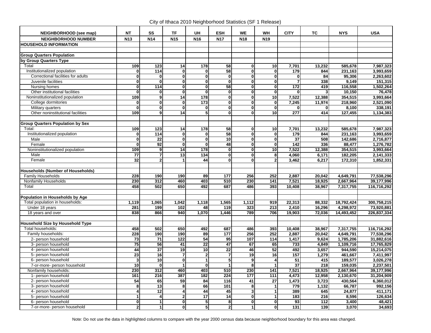City of Ithaca 2010 Neighborhood Statistics (SF 1 Release)

| NEIGHBORHOOD (see map)                                       | NT                      | SS                      | <b>TF</b>               | UH                       | <b>ESH</b>              | <b>WE</b>               | <b>WH</b>               | <b>CITY</b>     | ТC               | <b>NYS</b>              | <b>USA</b>                |
|--------------------------------------------------------------|-------------------------|-------------------------|-------------------------|--------------------------|-------------------------|-------------------------|-------------------------|-----------------|------------------|-------------------------|---------------------------|
| <b>NEIGHBORHOOD NUMBER</b>                                   | <b>N13</b>              | <b>N14</b>              | <b>N15</b>              | N <sub>16</sub>          | <b>N17</b>              | <b>N18</b>              | N <sub>19</sub>         |                 |                  |                         |                           |
| <b>HOUSEHOLD INFORMATION</b>                                 |                         |                         |                         |                          |                         |                         |                         |                 |                  |                         |                           |
|                                                              |                         |                         |                         |                          |                         |                         |                         |                 |                  |                         |                           |
| <b>Group Quarters Population</b>                             |                         |                         |                         |                          |                         |                         |                         |                 |                  |                         |                           |
| by Group Quarters Type                                       |                         |                         |                         |                          |                         |                         |                         |                 |                  |                         |                           |
| Total                                                        | 109                     | 123                     | 14                      | 178                      | 58                      | 0                       | 10                      | 7,701           | 13,232           | 585,678                 | 7,987,323                 |
| Institutionalized population                                 | $\mathbf{0}$            | 114                     | $\bf{0}$                | $\mathbf{0}$             | $\overline{58}$         | 0                       | $\mathbf{0}$            | 179             | 844              | 231,163                 | 3,993,659                 |
| Correctional facilities for adults                           | $\overline{\mathbf{0}}$ | $\mathbf 0$             | $\overline{\mathbf{0}}$ | $\overline{\mathbf{0}}$  | $\overline{\mathbf{0}}$ | $\overline{\mathbf{0}}$ | $\overline{\mathbf{0}}$ | $\mathbf 0$     | 84               | 95,306                  | 2,263,602                 |
| Juvenile facilities                                          | $\mathbf 0$             | $\mathbf{0}$            | $\mathbf{0}$            | $\mathbf{0}$             | $\mathbf{0}$            | $\mathbf 0$             | $\mathbf{0}$            | $\overline{7}$  | 338              | 9,149                   | 151,315                   |
| Nursing homes                                                | $\overline{\mathbf{0}}$ | 114                     | $\overline{\mathbf{0}}$ | $\overline{\mathbf{0}}$  | $\overline{58}$         | $\overline{\mathbf{0}}$ | $\overline{\mathbf{0}}$ | 172             | 419              | 116,558                 | 1,502,264                 |
| Other institutional facilities                               | $\mathbf 0$             | $\mathbf 0$             | $\mathbf{0}$            | $\mathbf{0}$             | $\mathbf 0$             | 0                       | $\mathbf{0}$            | $\mathbf{0}$    | 3 <sup>1</sup>   | 10,150                  | 76,478                    |
| Noninstitutionalized population                              | 109                     | $\overline{9}$          | 14                      | 178                      | $\overline{\mathbf{0}}$ | $\overline{\mathbf{0}}$ | 10                      | 7,522           | 12,388           | 354,515                 | 3,993,664                 |
| College dormitories                                          | $\mathbf 0$             | $\mathbf{0}$            | $\mathbf{0}$            | 173                      | $\overline{\mathbf{0}}$ | 0                       | $\mathbf{0}$            | 7,245           | 11,974           | 218,960                 | 2,521,090                 |
| Military quarters                                            | $\overline{\mathbf{0}}$ | $\overline{\mathbf{0}}$ | $\overline{\mathbf{0}}$ | $\mathbf{0}$             | $\overline{\mathbf{o}}$ | $\overline{\mathbf{0}}$ | $\overline{\mathbf{0}}$ | 0               | $\mathbf{0}$     | 8,100                   | 338,191                   |
| Other noninstitutional facilities                            | 109                     | 9                       | 14                      | 5 <sup>1</sup>           | $\overline{\mathbf{0}}$ | $\mathbf{0}$            | 10                      | 277             | 414              | 127,455                 | 1,134,383                 |
|                                                              |                         |                         |                         |                          |                         |                         |                         |                 |                  |                         |                           |
| <b>Group Quarters Population by Sex</b>                      |                         |                         |                         |                          |                         |                         |                         |                 |                  |                         |                           |
| Total:                                                       | 109                     | 123                     | 14                      | 178                      | 58                      | 0                       | 10 <sub>1</sub>         | 7,701           | 13,232           | 585,678                 | 7,987,323                 |
| Institutionalized population                                 | $\mathbf 0$             | 114                     | $\bf{0}$                | $\mathbf{0}$             | 58                      | 0                       | $\mathbf{0}$            | 179             | 844              | 231,163                 | 3,993,659                 |
| Male                                                         | $\mathbf{0}$            | $\overline{22}$         | $\mathbf{0}$            | $\mathbf{0}$             | 10                      | $\overline{\mathbf{0}}$ | $\overline{\mathbf{0}}$ | 37              | 508              | 142,686                 | 2,716,877                 |
| Female                                                       | $\overline{\mathbf{0}}$ | 92                      | $\overline{\mathbf{0}}$ | $\overline{\mathbf{0}}$  | 48                      | $\overline{\mathbf{0}}$ | $\overline{\mathbf{0}}$ | 142             | 336              | 88,477                  | 1,276,782                 |
| Noninstitutionalized population                              | 109                     | 9                       | 14                      | 178                      | $\mathbf{0}$            | $\overline{\mathbf{0}}$ | $\overline{10}$         | 7,522           | 12,388           | 354,515                 | 3,993,664                 |
| Male                                                         | 77                      | $\overline{7}$          | 13                      | 134                      | 0                       | 0                       | 8                       | 4,060           | 6,171            | 182,205                 | 2,141,333                 |
| Female                                                       | 32                      | $\overline{2}$          | $\mathbf{1}$            | 44                       | $\mathbf{0}$            | $\mathbf{0}$            | $\overline{2}$          | 3,462           | 6,217            | 172,310                 | 1,852,331                 |
|                                                              |                         |                         |                         |                          |                         |                         |                         |                 |                  |                         |                           |
| <b>Households (Number of Households)</b>                     |                         |                         |                         |                          |                         |                         |                         |                 |                  |                         |                           |
| <b>Family Households</b>                                     | $\overline{228}$        | 190                     | 190                     | 89                       | 177                     | 256                     | 252                     | 2,887           | 20,042           | 4,649,791               | 77,538,296                |
| Nonfamily Households                                         | 230                     | $\overline{312}$        | 460                     | 403                      | $\overline{510}$        | 230                     | 141                     | 7,521           | 18,925           | 2,667,964               | 39,177,996                |
| Total                                                        | 458                     | 502                     | 650                     | 492                      | 687                     | 486                     | 393                     | 10,408          | 38,967           | 7,317,755               | 116,716,292               |
|                                                              |                         |                         |                         |                          |                         |                         |                         |                 |                  |                         |                           |
| Population in Households by Age                              |                         | 1,065                   | 1.042                   |                          |                         |                         | 919                     |                 |                  |                         |                           |
| Total population in households:<br>Under 18 years            | 1,119<br>281            | 199                     | 102                     | 1,118<br>48              | 1,565<br>119            | 1,112<br>323            | 213                     | 22,313<br>2,410 | 88,332<br>16,296 | 18,792,424<br>4,298,972 | 300,758,215<br>73,920,881 |
| 18 years and over                                            | 838                     | 866                     | 940                     | 1,070                    | 1,446                   | 789                     | 706                     |                 |                  | 14,493,452              | 226,837,334               |
|                                                              |                         |                         |                         |                          |                         |                         |                         | 19,903          | 72,036           |                         |                           |
|                                                              |                         |                         |                         |                          |                         |                         |                         |                 |                  |                         |                           |
| <b>Household Size by Household Type</b><br>Total households: | 458                     | 502                     | 650                     | 492                      | 687                     | 486                     | 393                     | 10.408          | 38.967           | 7,317,755               | 116,716,292               |
| Family households:                                           | 228                     | 190                     | 190                     | 89                       | 177                     | 256                     | 252                     | 2,887           | 20,042           | 4,649,791               | 77,538,296                |
| 2- person household                                          | 73                      | 71                      | 122                     | 54                       | 95                      | 107                     | 114                     | 1,417           | 9.624            | 1,785,206               | 31,882,616                |
| 3- person household                                          | 75                      | 56                      | 41                      | 22                       | 47                      | 67                      | 65                      | 733             | 4,849            | 1,109,716               | 17,765,829                |
| 4- person household                                          | 44                      | 37                      | 19                      | 10 <sup>1</sup>          | 22                      | 46                      | 52                      | 492             | 3,657            | 944,590                 | 15,214,075                |
| 5- person household                                          | $\overline{23}$         | 16                      | $\overline{7}$          | $\mathbf{2}$             | $\overline{7}$          | 19                      | $\overline{16}$         | 157             | 1,279            | 461,667                 | 7,411,997                 |
| 6- person household                                          | $\overline{\mathbf{3}}$ | 10                      | $\mathbf{0}$            | $\overline{\phantom{a}}$ | 5                       | $\overline{9}$          | 4                       | 51              | 415              | 189,577                 | 3,026,278                 |
| 7-or-more- person household                                  | 10                      | $\mathbf 0$             | 1                       | $\mathbf{0}$             | $\mathbf{1}$            | $\overline{\mathbf{8}}$ | $\mathbf{1}$            | $\overline{37}$ | 218              | 159,035                 | 2,237,501                 |
| Nonfamily households:                                        | 230                     | 312                     | 460                     | 403                      | 510                     | 230                     | 141                     | 7,521           | 18,925           | 2,667,964               | 39,177,996                |
| 1- person household                                          | 161                     | 216                     | 387                     | 182                      | 224                     | 177                     | 111                     | 4,473           | 12,958           | 2,130,670               | 31,204,909                |
| 2- person household                                          | 54                      | 65                      | 59                      | 84                       | 116                     | 41                      | 27                      | 1,473           | 3,723            | 430,564                 | 6,360,012                 |
| 3- person household                                          | 8                       | 13                      | 8                       | 66                       | 101                     | 8                       | $\mathbf{1}$            | 779             | 1,132            | 66,787                  | 992,156                   |
| 4- person household                                          | 4                       | $\overline{12}$         | 4                       | 44                       | 45                      | 3                       |                         | 389             | 645              | 24,877                  | 411,171                   |
| 5- person household                                          | 1                       | $\overline{4}$          | $\overline{2}$          | 17                       | 14                      | 0                       | 1                       | 183             | 216              | 8,596                   | 126,634                   |
| 6- person household                                          | $\overline{\mathbf{0}}$ | $\mathbf{1}$            | $\mathbf{0}$            | 5                        | 8                       | $\overline{\mathbf{0}}$ | $\mathbf{0}$            | $\overline{93}$ | $\overline{112}$ | 3,400                   | 48,421                    |
| 7-or-more- person household                                  | $\mathbf{2}$            | $\mathbf{1}$            | $\mathbf{0}$            | 5 <sup>1</sup>           | $\mathbf{2}$            | 1                       | $\mathbf{0}$            | 131             | 139              | 3,070                   | 34,693                    |

Note: Do not use the data in highlighted columns to compare with the year 2000 census data because neighborhood boundary for this area was changed.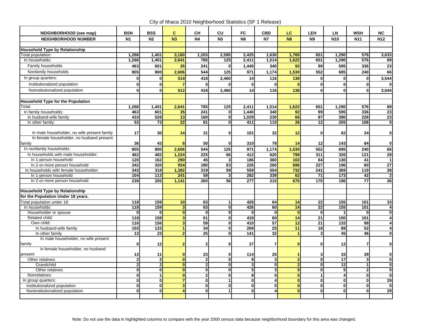City of Ithaca 2010 Neighborhood Statistics (SF 1 Release)

| NEIGHBORHOOD (see map)                                                                   | <b>BSN</b>              | <b>BSS</b>       | $\mathbf{C}$   | <b>CH</b>        | <b>CU</b>               | <b>FC</b>               | <b>CBD</b>              | LC.                     | <b>LEH</b>              | <b>LN</b>       | <b>WSH</b>      | <b>NC</b>               |
|------------------------------------------------------------------------------------------|-------------------------|------------------|----------------|------------------|-------------------------|-------------------------|-------------------------|-------------------------|-------------------------|-----------------|-----------------|-------------------------|
| <b>NEIGHBORHOOD NUMBER</b>                                                               | N <sub>1</sub>          | N <sub>2</sub>   | N <sub>3</sub> | N <sub>4</sub>   | N <sub>5</sub>          | <b>N6</b>               | <b>N7</b>               | <b>N8</b>               | <b>N9</b>               | <b>N10</b>      | <b>N11</b>      | <b>N12</b>              |
|                                                                                          |                         |                  |                |                  |                         |                         |                         |                         |                         |                 |                 |                         |
| <b>Household Type by Relationship</b>                                                    |                         |                  |                |                  |                         |                         |                         |                         |                         |                 |                 |                         |
| Total population:                                                                        | 1.268                   | 1.401            | 3,160          | 1,203            | 2,585                   | 2,425                   | 1.630                   | 1,760                   | 651                     | 1.290           | 576             | 3,633                   |
| In households:                                                                           | 1,268                   | 1,401            | 2,641          | 785              | 125                     | 2,411                   | 1,514                   | 1,622                   | 651                     | 1,290           | 576             | 89                      |
| Family households                                                                        | 463                     | 601              | 35             | 241              | $\mathbf 0$             | 1,440                   | 340                     | 92                      | 99                      | 595             | 336             | 23                      |
| Nonfamily households                                                                     | 805                     | 800              | 2,606          | 544              | 125                     | 971                     | 1,174                   | 1.530                   | 552                     | 695             | 240             | 66                      |
| In group quarters:                                                                       | $\mathbf{0}$            | $\mathbf{0}$     | 519            | 418              | 2,460                   | 14                      | 116                     | 138                     | $\mathbf{0}$            | $\mathbf{0}$    | $\mathbf{0}$    | 3,544                   |
| Institutionalized population                                                             | $\mathbf 0$             | $\mathbf{0}$     | $\overline{7}$ | $\mathbf 0$      | $\Omega$                | $\mathbf 0$             | $\mathbf 0$             | $\mathbf{0}$            | $\mathbf{0}$            | $\mathbf{0}$    | $\mathbf 0$     | $\mathbf 0$             |
| Noinstitutionalized population                                                           | $\mathbf{0}$            | $\mathbf{0}$     |                | 418              | 2,460                   | 14                      | 116                     | 138                     | $\mathbf{0}$            | $\mathbf{0}$    | $\mathbf 0$     | 3,544                   |
|                                                                                          |                         |                  | 512            |                  |                         |                         |                         |                         |                         |                 |                 |                         |
| Household Type for the Population                                                        |                         |                  |                |                  |                         |                         |                         |                         |                         |                 |                 |                         |
| Total:                                                                                   | 1,268                   | 1,401            | 2,641          | 785              | 125                     | 2,411                   | 1,514                   | 1,622                   | 651                     | 1,290           | 576             | 89                      |
| In family households:                                                                    | 463                     | 601              | 35             | 241              | $\mathbf{0}$            | 1,440                   | 340                     | 92                      | 99                      | 595             | 336             | $\overline{23}$         |
| In husband-wife family                                                                   | 410                     | 528              | 13             | 160              | $\mathbf{0}$            | 1.029                   | 230                     | 66                      | $\overline{87}$         | 390             | 228             | 23                      |
| In other family:                                                                         | 53                      | 73               | 22             | 81               | 0                       | 411                     | 110                     | 26                      | 12                      | 205             | 108             | $\mathbf{0}$            |
|                                                                                          |                         |                  |                |                  |                         |                         |                         |                         |                         |                 |                 |                         |
| In male householder, no wife present family<br>In female householder, no husband present | 17                      | 30               | 14             | 31               | 0                       | 101                     | 32                      | 12                      | $\mathbf{0}$            | 62              | 24              | $\bf{0}$                |
| family                                                                                   | 36                      | 43               | 8              | 50               | 0                       | 310                     | 78                      | 14                      | 12                      | 143             | 84              | $\bf{0}$                |
| In nonfamily households:                                                                 | 805                     | 800              | 2,606          | 544              | 125                     | 971                     | 1,174                   | 1,530                   | 552                     | 695             | 240             | 66                      |
| In households with male householder:                                                     | 462                     | 482              | 1,224          | $\overline{225}$ | 66                      | 412                     | 620                     | 798                     | 311                     | 326             | 121             | 28                      |
| In 1-person household                                                                    | 120                     | 162              | 290            | 45               | 3                       | 186                     | 360                     | 102                     | 84                      | 130             | 41              | $\mathbf{1}$            |
| In 2-or-more person household                                                            | 342                     | 320              | 934            | 180              | 63                      | 226                     | 260                     | 696                     | $\overline{227}$        | 196             | 80              | $\overline{27}$         |
| In households with female householder:                                                   | 343                     | 318              | 1,382          | 319              | 59                      | 559                     | 554                     | 732                     | 241                     | 369             | 119             | 38                      |
| In 1-person household                                                                    | 104                     | 113              | 241            | 59               | $\overline{\mathbf{3}}$ | 282                     | 339                     | 62                      | $\overline{71}$         | 173             | 42              | $\overline{2}$          |
| In 2-or-more person household                                                            | 239                     | $\overline{205}$ | 1,141          | 260              | 56                      | $\overline{277}$        | $\overline{215}$        | 670                     | 170                     | 196             | $\overline{77}$ | 36                      |
|                                                                                          |                         |                  |                |                  |                         |                         |                         |                         |                         |                 |                 |                         |
| <b>Household Type by Relationship</b>                                                    |                         |                  |                |                  |                         |                         |                         |                         |                         |                 |                 |                         |
| for the Population Under 18 years.                                                       |                         |                  |                |                  |                         |                         |                         |                         |                         |                 |                 |                         |
| Total population under 18:                                                               | 118                     | 159              | 10             | 63               | 1                       | 426                     | 64                      | 14                      | $\overline{22}$         | 155             | 101             | 33                      |
| In households:                                                                           | 118                     | 159              | $\overline{3}$ | 63               | $\overline{\mathbf{0}}$ | 426                     | 60                      | 14                      | $\overline{22}$         | 155             | 101             | $\overline{4}$          |
| Householder or spouse                                                                    | $\mathbf 0$             | $\mathbf{0}$     | $\mathbf{0}$   | $\mathbf 0$      | $\overline{\mathbf{0}}$ | $\mathbf{0}$            | $\mathbf 0$             | $\mathbf{0}$            | $\mathbf{0}$            | 1               | $\Omega$        | $\overline{\mathbf{0}}$ |
| Related child:                                                                           | 118                     | 158              | $\overline{3}$ | 61               | $\overline{\mathbf{0}}$ | 418                     | 60                      | 14                      | $\overline{21}$         | 150             | 101             | $\overline{\mathbf{4}}$ |
| Own child:                                                                               | 116                     | 156              | 3              | 59               | $\overline{0}$          | 410                     | 57                      | 12                      | $\overline{21}$         | 133             | 98              | $\overline{4}$          |
| In husband-wife family                                                                   | 103                     | 133              | 1              | 34               | $\overline{\mathbf{0}}$ | 269                     | $\overline{25}$         | $\overline{11}$         | $\overline{18}$         | 88              | 52              | $\overline{4}$          |
| In other family                                                                          | 13                      | 23               | 2              | $\overline{25}$  | $\overline{\mathbf{0}}$ | 141                     | 32                      |                         | 3 <sup>1</sup>          | $\overline{45}$ | 46              | $\overline{\mathbf{0}}$ |
| In male householder, no wife present                                                     |                         |                  |                |                  |                         |                         |                         |                         |                         |                 |                 |                         |
| family<br>in female householder, no husband                                              | $\mathbf 0$             | 12               | $\overline{2}$ | $\mathbf{2}$     | 0                       | 27                      | $\overline{7}$          | $\bf{0}$                | $\mathbf{0}$            | 12              | 7               | 0                       |
| present                                                                                  | 13                      | 11               | $\mathbf{0}$   | 23               | $\mathbf 0$             | 114                     | 25                      |                         | 3                       | 33              | 39              | $\bf{0}$                |
| Other relatives:                                                                         | $\overline{\mathbf{2}}$ | $\overline{2}$   | $\mathbf{0}$   | $\mathbf{2}$     | $\overline{\mathbf{0}}$ | 8                       | $\mathbf{3}$            | $\overline{2}$          | $\mathbf{0}$            | $\overline{17}$ | $\mathbf{3}$    | $\overline{\mathbf{0}}$ |
| Grandchild                                                                               | $\overline{\mathbf{2}}$ | $\overline{2}$   | $\overline{0}$ | 2                | $\overline{0}$          | 3                       | $\mathbf{0}$            | $\overline{\mathbf{c}}$ | $\overline{\mathbf{0}}$ | 12              | 1               | $\overline{\mathbf{0}}$ |
| Other relatives                                                                          | $\mathbf{0}$            | $\mathbf{0}$     | $\mathbf{0}$   | $\mathbf{0}$     | $\overline{\mathbf{0}}$ | 5                       | $\overline{\mathbf{3}}$ | $\mathbf{0}$            | $\mathbf{0}$            | $5\phantom{.0}$ | $\overline{2}$  | $\overline{\mathbf{0}}$ |
| Nonrelatives:                                                                            | $\mathbf 0$             | $\mathbf{1}$     | $\mathbf{0}$   | $\mathbf{2}$     | $\overline{\mathbf{0}}$ | 8                       | $\mathbf 0$             | $\mathbf{0}$            | $\mathbf{1}$            | $\overline{4}$  | $\bf{0}$        | $\overline{\mathbf{0}}$ |
| In group quarters:                                                                       | $\mathbf 0$             | $\overline{0}$   | $\bullet$      | $\mathbf 0$      | $\overline{1}$          | $\bullet$               | 4                       | $\Omega$                | $\overline{\mathbf{0}}$ | $\mathbf{0}$    | 0               | 29                      |
| Institutionalized population                                                             | $\mathbf 0$             | $\overline{0}$   | $\overline{3}$ | $\mathbf 0$      | $\overline{\mathbf{0}}$ | $\overline{\mathbf{0}}$ | $\mathbf{0}$            | $\Omega$                | $\overline{\mathbf{0}}$ | $\mathbf{0}$    | 0               | $\overline{\mathbf{0}}$ |
| Noninstitutionalized population                                                          | $\mathbf 0$             | $\mathbf{0}$     | $\overline{4}$ | $\mathbf{0}$     | $\mathbf{1}$            | $\mathbf{0}$            | 4                       | $\Omega$                | $\mathbf{0}$            | Οl              | 0               | $\overline{29}$         |
|                                                                                          |                         |                  |                |                  |                         |                         |                         |                         |                         |                 |                 |                         |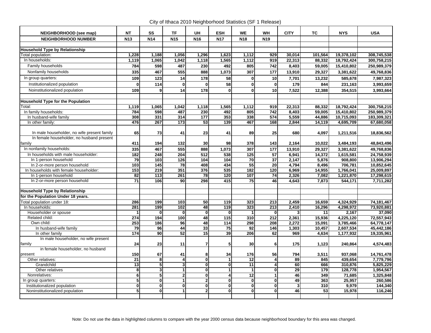City of Ithaca 2010 Neighborhood Statistics (SF 1 Release)

| NEIGHBORHOOD (see map)                                                                   | <b>NT</b>               | SS                      | <b>TF</b>                | <b>UH</b>               | <b>ESH</b>              | <b>WE</b>               | <b>WH</b>        | <b>CITY</b>    | <b>TC</b>        | <b>NYS</b> | <b>USA</b>  |
|------------------------------------------------------------------------------------------|-------------------------|-------------------------|--------------------------|-------------------------|-------------------------|-------------------------|------------------|----------------|------------------|------------|-------------|
| <b>NEIGHBORHOOD NUMBER</b>                                                               | <b>N13</b>              | <b>N14</b>              | <b>N15</b>               | N <sub>16</sub>         | <b>N17</b>              | <b>N18</b>              | N <sub>19</sub>  |                |                  |            |             |
|                                                                                          |                         |                         |                          |                         |                         |                         |                  |                |                  |            |             |
| <b>Household Type by Relationship</b>                                                    |                         |                         |                          |                         |                         |                         |                  |                |                  |            |             |
| Total population:                                                                        | 1.228                   | 1,188                   | 1.056                    | 1,296                   | 1,623                   | 1,112                   | $\overline{929}$ | 30.014         | 101.564          | 19.378.102 | 308,745,538 |
| In households:                                                                           | 1,119                   | 1,065                   | 1,042                    | 1,118                   | 1,565                   | 1,112                   | 919              | 22,313         | 88,332           | 18,792,424 | 300,758,215 |
| Family households                                                                        | 784                     | 598                     | 487                      | 230                     | 492                     | 805                     | 742              | 8,403          | 59,005           | 15,410,802 | 250,989,379 |
| Nonfamily households                                                                     | 335                     | 467                     | 555                      | 888                     | 1,073                   | 307                     | 177              | 13,910         | 29.327           | 3,381,622  | 49,768,836  |
| In group quarters:                                                                       | 109                     | 123                     | 14                       | 178                     | 58                      | $\mathbf{0}$            | 10               | 7,701          | 13,232           | 585.678    | 7,987,323   |
|                                                                                          |                         |                         |                          |                         | 58                      |                         |                  |                |                  |            |             |
| Institutionalized population                                                             | $\mathbf 0$             | $\frac{114}{114}$       | $\mathbf 0$              | $\mathbf 0$             |                         | $\mathbf 0$             | $\mathbf 0$      | 179            | 844              | 231,163    | 3,993,659   |
| Noinstitutionalized population                                                           | 109                     | 9                       | 14                       | 178                     | $\mathbf{0}$            | $\mathbf{0}$            | 10               | 7,522          | 12,388           | 354,515    | 3,993,664   |
|                                                                                          |                         |                         |                          |                         |                         |                         |                  |                |                  |            |             |
| <b>Household Type for the Population</b>                                                 |                         |                         |                          |                         |                         |                         |                  |                |                  |            |             |
| Total:                                                                                   | 1,119                   | 1,065                   | 1,042                    | 1,118                   | 1,565                   | 1,112                   | 919              | 22,313         | 88,332           | 18,792,424 | 300,758,215 |
| In family households:                                                                    | 784                     | 598                     | 487                      | 230                     | 492                     | 805                     | 742              | 8,403          | 59,005           | 15,410,802 | 250,989,379 |
| In husband-wife family                                                                   | 308                     | 331                     | 314                      | 177                     | 353                     | 338                     | 574              | 5,559          | 44,886           | 10,715,093 | 183,309,321 |
| In other family:                                                                         | 476                     | 267                     | 173                      | 53                      | 139                     | 467                     | 168              | 2,844          | 14,119           | 4,695,709  | 67,680,058  |
|                                                                                          | 65                      | 73                      | 41                       | 23                      | 41                      | 89                      | 25               | 680            |                  |            |             |
| In male householder, no wife present family<br>In female householder, no husband present |                         |                         |                          |                         |                         |                         |                  |                | 4,097            | 1,211,516  | 18,836,562  |
| family                                                                                   | 411                     | 194                     | 132                      | 30                      | 98                      | 378                     | 143              | 2,164          | 10,022           | 3,484,193  | 48,843,496  |
| In nonfamily households:                                                                 | 335                     | 467                     | 555                      | 888                     | 1,073                   | 307                     | 177              | 13,910         | 29,327           | 3,381,622  | 49,768,836  |
| In households with male householder:                                                     | 182                     | 248                     | 204                      | $\overline{512}$        | 538                     | 125                     | 57               | 6,941          | 14,372           | 1,615,581  | 24,758,939  |
| In 1-person household                                                                    | 79                      | 103                     | 126                      | 104                     | 104                     | 70                      | 37               | 2,147          | 5,876            | 908,800    | 13,906,294  |
| In 2-or-more person household                                                            | 103                     | 145                     | $\overline{78}$          | 408                     | 434                     | 55                      | 20               | 4,794          | 8,496            | 706,781    | 10,852,645  |
| In households with female householder:                                                   | 153                     | 219                     | 351                      | 376                     | 535                     | 182                     | 120              | 6,969          | 14,955           | 1,766,041  | 25,009,897  |
| In 1-person household                                                                    | 82                      | 113                     | 261                      | 78                      | 120                     | 107                     | 74               | 2,326          | 7,082            | 1,221,870  | 17,298,615  |
| In 2-or-more person household                                                            | $\overline{71}$         | 106                     | 90                       | 298                     | 415                     | $\overline{75}$         | 46               | 4,643          | 7,873            | 544,171    | 7.711.282   |
|                                                                                          |                         |                         |                          |                         |                         |                         |                  |                |                  |            |             |
| <b>Household Type by Relationship</b>                                                    |                         |                         |                          |                         |                         |                         |                  |                |                  |            |             |
| for the Population Under 18 years.                                                       |                         |                         |                          |                         |                         |                         |                  |                |                  |            |             |
| Total population under 18:                                                               | 286                     | 199                     | 103                      | 50                      | 119                     | 323                     | $\overline{213}$ | 2,459          | 16,659           | 4,324,929  | 74,181,467  |
| In households:                                                                           | 281                     | 199                     | 102                      | 48                      | $\overline{119}$        | 323                     | 213              | 2,410          | 16,296           | 4,298,972  | 73,920,881  |
| Householder or spouse                                                                    | $\mathbf 1$             | $\mathbf 0$             | $\mathbf{0}$             | $\mathbf 0$             | $\mathbf 0$             | $\blacktriangleleft$    | $\mathbf{0}$     | 3 <sup>1</sup> | 11               | 2,167      | 37,090      |
| Related child:                                                                           | $\overline{274}$        | 194                     | 100                      | 48                      | 115                     | 310                     | $\overline{212}$ | 2,361          | 15.936           | 4,225,120  | 72,557,943  |
| Own child:                                                                               | 253                     | 186                     | 96                       | 48                      | 114                     | 298                     | 208              | 2,272          | 15,091           | 3,785,466  | 64,778,147  |
| In husband-wife family                                                                   | 79                      | 96                      | 44                       | 33                      | 75                      | $\overline{92}$         | 146              | 1,303          | 10,457           | 2,607,534  | 45,442,186  |
| In other family                                                                          | 174                     | 90                      | $\overline{52}$          | $\overline{15}$         | $\overline{39}$         | 206                     | 62               | 969            | 4.634            | 1,177,932  | 19,335,961  |
| In male householder, no wife present                                                     |                         |                         |                          |                         |                         |                         |                  |                |                  |            |             |
| family                                                                                   | 24                      | 23                      | 11                       | $\overline{7}$          | 5                       | 30                      | 6                | 175            | 1,123            | 240,864    | 4,574,483   |
| in female householder, no husband                                                        |                         |                         |                          |                         |                         |                         |                  |                |                  |            |             |
| present                                                                                  | 150                     | 67                      | 41                       | 8                       | 34                      | 176                     | 56               | 794            | 3,511            | 937,068    | 14,761,478  |
| Other relatives:                                                                         | 21                      | 8                       | 4                        | $\mathbf 0$             | $\mathbf{1}$            | $\overline{12}$         | $\overline{4}$   | 89             | 845              | 439,654    | 7,779,796   |
| Grandchild                                                                               | 13                      | 5                       | $\overline{\mathbf{3}}$  | $\mathbf{0}$            | $\overline{\mathbf{0}}$ | 11                      | 4                | 60             | 666              | 310,876    | 5,825,229   |
| Other relatives                                                                          | 8                       | $\overline{\mathbf{3}}$ | $\mathbf{1}$             | $\mathbf{0}$            | 1                       | $\mathbf{1}$            | $\mathbf{0}$     | 29             | 179              | 128,778    | 1,954,567   |
| Nonrelatives:                                                                            | 6                       | 5                       | $\overline{2}$           | $\mathbf 0$             | 4                       | $\overline{12}$         | $\mathbf{1}$     | 46             | 349              | 71,685     | 1,325,848   |
| In group quarters:                                                                       | 5                       | $\mathbf{0}$            | $\overline{\phantom{a}}$ | 2                       | $\overline{\mathbf{0}}$ | $\overline{\mathbf{0}}$ | $\mathbf 0$      | 49             | 363              | 25,957     | 260,586     |
| Institutionalized population                                                             | $\overline{\mathbf{0}}$ | $\mathbf{0}$            | $\overline{0}$           | $\overline{\mathbf{o}}$ | $\overline{\mathbf{0}}$ | $\overline{\mathbf{0}}$ | $\mathbf{0}$     | 3              | $\overline{310}$ | 9,979      | 144,340     |
| Noninstitutionalized population                                                          | 5                       | 0                       | $\mathbf{1}$             | $\overline{\mathbf{c}}$ | $\overline{0}$          | $\mathbf{0}$            | $\mathbf{0}$     | 46             | 53               | 15,978     | 116,246     |
|                                                                                          |                         |                         |                          |                         |                         |                         |                  |                |                  |            |             |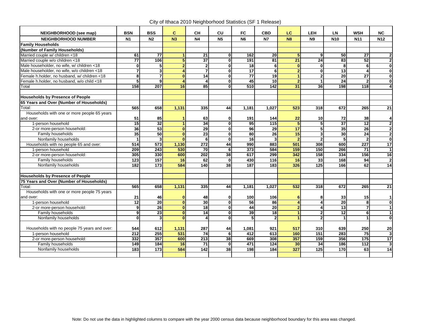City of Ithaca 2010 Neighborhood Statistics (SF 1 Release)

| NEIGHBORHOOD (see map)                       | <b>BSN</b>           | <b>BSS</b>       | C              | <b>CH</b>               | CU                      | FC               | <b>CBD</b>      | LC              | <b>LEH</b>              | LN              | <b>WSH</b>       | <b>NC</b>               |
|----------------------------------------------|----------------------|------------------|----------------|-------------------------|-------------------------|------------------|-----------------|-----------------|-------------------------|-----------------|------------------|-------------------------|
| <b>NEIGHBORHOOD NUMBER</b>                   | N <sub>1</sub>       | N <sub>2</sub>   | N3             | <b>N4</b>               | <b>N5</b>               | N <sub>6</sub>   | <b>N7</b>       | <b>N8</b>       | <b>N9</b>               | <b>N10</b>      | <b>N11</b>       | N <sub>12</sub>         |
| <b>Family Households</b>                     |                      |                  |                |                         |                         |                  |                 |                 |                         |                 |                  |                         |
| (Number of Family Households)                |                      |                  |                |                         |                         |                  |                 |                 |                         |                 |                  |                         |
| Married couple w/ children <18               | 61                   | $\overline{77}$  |                | 21                      | 0                       | 162              | $\overline{20}$ | 5               | 9                       | 50              | $\overline{27}$  | $\mathbf 2$             |
| Married couple w/o children <18              | $\overline{77}$      | 106              | 5 <sub>5</sub> | $\overline{37}$         | $\mathbf{0}$            | 191              | $\overline{81}$ | $\overline{21}$ | 24                      | 83              | 52               | $\boldsymbol{2}$        |
| Male householder, no wife, w/ children <18   | $\mathbf{0}$         | 5                | $\overline{2}$ | $\overline{2}$          | $\mathbf 0$             | 18               | 6               | $\Omega$        | $\mathbf{0}$            | 8               | 6                | $\pmb{0}$               |
| Male householder, no wife, w/o children <18  | 7                    | 3                |                | $\overline{\mathbf{z}}$ | $\overline{\mathbf{0}}$ | $\overline{17}$  | 6 <sup>1</sup>  | $\overline{2}$  | ō                       | 13              | $\overline{4}$   | ō                       |
| Female h.holder, no husband, w/ children <18 | 8                    | $\overline{7}$   | $\mathbf{0}$   | 14                      | $\mathbf{0}$            | $\overline{77}$  | 19              |                 | $\mathbf{2}$            | 20              | 27               | $\mathbf{0}$            |
| Female h.holder, no husband, w/o child <18   | 5                    | g                | $\overline{A}$ | 4                       | $\overline{0}$          | 45               | 10              | 2 <sub>l</sub>  | $\mathbf{1}$            | 24              | $\overline{2}$   | $\overline{\mathbf{0}}$ |
| Total                                        | 158                  | $\overline{207}$ | 16             | 85                      | 0                       | $\overline{510}$ | $\frac{1}{142}$ | 31              | 36                      | 198             | $\overline{118}$ | 4                       |
|                                              |                      |                  |                |                         |                         |                  |                 |                 |                         |                 |                  |                         |
| <b>Households by Presence of People</b>      |                      |                  |                |                         |                         |                  |                 |                 |                         |                 |                  |                         |
| 65 Years and Over (Number of Households)     |                      |                  |                |                         |                         |                  |                 |                 |                         |                 |                  |                         |
| Total:                                       | 565                  | 658              | 1.131          | 335                     | 44                      | 1,181            | 1.027           | 523             | 318                     | 672             | $\overline{265}$ | 21                      |
| Households with one or more people 65 years  |                      |                  |                |                         |                         |                  |                 |                 |                         |                 |                  |                         |
| and over:                                    | 51                   | 85               |                | 63                      | 0                       | 191              | 144             | 22              | 10                      | 72              | 38               | 4                       |
| 1-person household                           | 15                   | $\overline{32}$  |                | 34                      | 0                       | $\overline{95}$  | 115             |                 | 5                       | $\overline{37}$ | $\overline{12}$  | $\bf 2$                 |
| 2-or more-person household:                  | 36                   | 53               | $\mathbf{0}$   | $\overline{29}$         | 0                       | 96               | $\overline{29}$ | $\overline{17}$ | 5                       | 35              | $\overline{26}$  | $\overline{\mathbf{c}}$ |
| Family households                            | 35                   | 50               | $\bf{0}$       | $\overline{23}$         | $\mathbf{0}$            | $\overline{80}$  | $\overline{26}$ | 15              | $\mathbf{3}$            | 30              | 24               | $\overline{\mathbf{2}}$ |
| Nonfamily households                         | $\blacktriangleleft$ | 3                | $\Omega$       | 6                       | $\mathbf{0}$            | $\overline{16}$  | 3               | $\overline{2}$  | $\overline{2}$          | 5 <sup>1</sup>  | $\overline{2}$   | $\overline{\mathbf{0}}$ |
| Households with no people 65 and over:       | 514                  | 573              | 1,130          | 272                     | 44                      | 990              | 883             | 501             | 308                     | 600             | 227              | $\overline{17}$         |
| 1-person household                           | 209                  | $\overline{243}$ | 530            | $\overline{70}$         | 6                       | $\overline{373}$ | 584             | 159             | 150                     | 266             | $\overline{71}$  | $\overline{1}$          |
| 2-or more-person household:                  | 305                  | 330              | 600            | 202                     | 38                      | 617              | 299             | 342             | 158                     | 334             | 156              | 16                      |
| Family households                            | 123                  | 157              | 16             | 62                      | $\mathbf{0}$            | 430              | 116             | 16              | 33                      | 168             | 94               | $\bf 2$                 |
| Nonfamily households                         | 182                  | 173              | 584            | 140                     | $\overline{38}$         | 187              | 183             | 326             | $\overline{125}$        | 166             | 62               | $\overline{14}$         |
|                                              |                      |                  |                |                         |                         |                  |                 |                 |                         |                 |                  |                         |
| <b>Households by Presence of People</b>      |                      |                  |                |                         |                         |                  |                 |                 |                         |                 |                  |                         |
| 75 Years and Over (Number of Households)     |                      |                  |                |                         |                         |                  |                 |                 |                         |                 |                  |                         |
| Total:                                       | 565                  | 658              | 1,131          | 335                     | 44                      | 1,181            | 1,027           | 532             | 318                     | 672             | 265              | 21                      |
| Households with one or more people 75 years  |                      |                  |                |                         |                         |                  |                 |                 |                         |                 |                  |                         |
| and over:                                    | 21                   | 46               |                | 48                      | 0                       | 100              | 106             |                 | 8                       | 33              | 15               | -1                      |
| 1-person household                           | 12                   | 20               | $\mathbf{0}$   | 30                      | $\mathbf 0$             | 56               | 86              | $\overline{a}$  | $\overline{\mathbf{4}}$ | 20              | 8                | $\mathbf 0$             |
| 2-or more-person household:                  | 9                    | $\overline{26}$  | $\mathbf{0}$   | $\overline{18}$         | $\overline{0}$          | 44               | 20              | $\overline{2}$  | $\overline{\mathbf{4}}$ | $\overline{13}$ | $\overline{7}$   | $\overline{1}$          |
| Family households                            | 9                    | $\overline{23}$  | $\bf{0}$       | 14                      | $\mathbf{0}$            | 39               | 18              |                 | $\mathbf{2}$            | 12              | 6                | $\mathbf{1}$            |
| Nonfamily households                         | $\overline{0}$       | 3                | $\overline{0}$ | $\overline{4}$          | $\overline{0}$          | 5                | $\overline{2}$  |                 | $\overline{2}$          | 1               | $\overline{1}$   | $\overline{\mathbf{0}}$ |
|                                              |                      |                  |                |                         |                         |                  |                 |                 |                         |                 |                  |                         |
| Households with no people 75 years and over: | 544                  | 612              | 1,131          | 287                     | 44                      | 1,081            | 921             | 517             | 310                     | 639             | 250              | 20                      |
| 1-person household                           | $\overline{212}$     | 255              | 531            | 74                      | 6                       | 412              | 613             | 160             | 151                     | 283             | 75               | $\overline{\mathbf{3}}$ |
| 2-or more-person household:                  | 332                  | 357              | 600            | 213                     | $\overline{38}$         | 669              | 308             | 357             | 159                     | 356             | 175              | 17                      |
| Family households                            | 149                  | 184              | 16             | $\overline{71}$         | $\mathbf{0}$            | 471              | 124             | 30              | 34                      | 186             | 112              | 3                       |
| Nonfamily households                         | 183                  | 173              | 584            | 142                     | 38                      | 198              | 184             | 327             | $\overline{125}$        | 170             | 63               | 14                      |
|                                              |                      |                  |                |                         |                         |                  |                 |                 |                         |                 |                  |                         |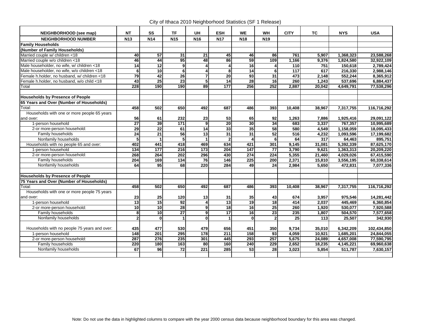City of Ithaca 2010 Neighborhood Statistics (SF 1 Release)

| NEIGHBORHOOD (see map)                       | <b>NT</b>       | SS              | TF               | UH               | <b>ESH</b>       | <b>WE</b>               | <b>WH</b>        | <b>CITY</b> | TC.    | <b>NYS</b> | <b>USA</b>  |
|----------------------------------------------|-----------------|-----------------|------------------|------------------|------------------|-------------------------|------------------|-------------|--------|------------|-------------|
| NEIGHBORHOOD NUMBER                          | <b>N13</b>      | N <sub>14</sub> | <b>N15</b>       | N <sub>16</sub>  | <b>N17</b>       | N <sub>18</sub>         | N <sub>19</sub>  |             |        |            |             |
| <b>Family Households</b>                     |                 |                 |                  |                  |                  |                         |                  |             |        |            |             |
| (Number of Family Households)                |                 |                 |                  |                  |                  |                         |                  |             |        |            |             |
| Married couple w/ children <18               | 40              | 57              | $\overline{31}$  | 21               | 45               | 46                      | 86               | 761         | 5,907  | 1,368,323  | 23.588.268  |
| Married couple w/o children <18              | 46              | 44              | 95               | 48               | 86               | 59                      | 109              | 1,166       | 9,376  | 1,824,580  | 32,922,109  |
| Male householder, no wife, w/ children <18   | 14              | $\overline{12}$ | 9                | 4                | $\overline{4}$   | 16                      | 4                | 110         | 751    | 150,618    | 2,789,424   |
| Male householder, no wife, w/o children <18  | 6               | 10              | 6                | $\overline{a}$   | 8                | 14                      | 6                | 117         | 617    | 216.330    | 2,988,146   |
| Female h.holder, no husband, w/ children <18 | 79              | 42              | 26               | $\overline{7}$   | 20               | 93                      | 31               | 473         | 2,148  | 552,244    | 8,365,912   |
| Female h.holder, no husband, w/o child <18   | 43              | 25              | 23               | 5                | $\overline{14}$  | 28                      | 16               | 260         | 1.243  | 537,696    | 6,884,437   |
| Total                                        | $\frac{228}{ }$ | 190             | 190              | 89               | $\overline{177}$ | $\overline{256}$        | $\overline{252}$ | 2.887       | 20,042 | 4,649,791  | 77,538,296  |
|                                              |                 |                 |                  |                  |                  |                         |                  |             |        |            |             |
| <b>Households by Presence of People</b>      |                 |                 |                  |                  |                  |                         |                  |             |        |            |             |
| 65 Years and Over (Number of Households)     |                 |                 |                  |                  |                  |                         |                  |             |        |            |             |
| Total:                                       | 458             | 502             | 650              | 492              | 687              | 486                     | 393              | 10.408      | 38.967 | 7,317,755  | 116,716,292 |
| Households with one or more people 65 years  |                 |                 |                  |                  |                  |                         |                  |             |        |            |             |
| and over:                                    | 56              | 61              | 232              | 23               | 53               | 65                      | 92               | 1,263       | 7,886  | 1,925,416  | 29,091,122  |
| 1-person household                           | $\overline{27}$ | 39              | $\overline{171}$ | 9                | $\overline{20}$  | $\overline{30}$         | $\overline{34}$  | 683         | 3.337  | 767.357    | 10.995.689  |
| 2-or more-person household:                  | $\overline{29}$ | $\overline{22}$ | 61               | 14               | 33               | 35                      | 58               | 580         | 4,549  | 1,158,059  | 18,095,433  |
| Family households                            | 24              | $\overline{21}$ | 56               | $\overline{a}$   | 31               | $\overline{31}$         | 52               | 516         | 4,232  | 1,093,596  | 17,199,682  |
| Nonfamily households                         | 5               | 1               | 5                |                  | $\overline{2}$   | $\boldsymbol{A}$        | 6                | 64          | 317    | 64,463     | 895,751     |
| Households with no people 65 and over:       | 402             | 441             | 418              | 469              | 634              | 421                     | 301              | 9,145       | 31,081 | 5,392,339  | 87,625,170  |
| 1-person household                           | 134             | 177             | $\overline{216}$ | $\overline{173}$ | 204              | $\overline{147}$        | $\overline{77}$  | 3,790       | 9.621  | 1,363,313  | 20,209,220  |
| 2-or more-person household:                  | 268             | 264             | 202              | 296              | 430              | 274                     | 224              | 5,355       | 21,460 | 4,029,026  | 67,415,590  |
| Family households                            | 204             | 169             | 134              | $\overline{76}$  | 146              | 225                     | 200              | 2,371       | 15,810 | 3,556,195  | 60,338,614  |
| Nonfamily households                         | 64              | 95              | 68               | 220              | 284              | 49                      | $\overline{24}$  | 2,984       | 5.650  | 472.831    | 7.077.336   |
|                                              |                 |                 |                  |                  |                  |                         |                  |             |        |            |             |
| <b>Households by Presence of People</b>      |                 |                 |                  |                  |                  |                         |                  |             |        |            |             |
| 75 Years and Over (Number of Households)     |                 |                 |                  |                  |                  |                         |                  |             |        |            |             |
| Total:                                       | 458             | 502             | 650              | 492              | 687              | 486                     | 393              | 10,408      | 38,967 | 7,317,755  | 116,716,292 |
| Households with one or more people 75 years  |                 |                 |                  |                  |                  |                         |                  |             |        |            |             |
| and over:                                    | 23              | 25              | 120              | 13               | 31               | 35                      | 43               | 674         | 3,957  | 975,546    | 14,281,442  |
| 1-person household                           | 13              | 15              | 92               | $\overline{4}$   | 13               | 19                      | 18               | 414         | 2,037  | 445,469    | 6,360,854   |
| 2-or more-person household:                  | $\overline{10}$ | 10              | 28               | 9                | $\overline{18}$  | $\overline{16}$         | 25               | 260         | 1,920  | 530.077    | 7,920,588   |
| Family households                            | 8               | 10 <sup>1</sup> | 27               | 9                | 17               | 16                      | $\overline{23}$  | 235         | 1,807  | 504,570    | 7,577,658   |
| Nonfamily households                         | $\overline{2}$  | $\overline{0}$  | $\mathbf{1}$     | ō                | 1                | $\overline{\mathbf{0}}$ | $\overline{2}$   | 25          | 113    | 25,507     | 342,930     |
| Households with no people 75 years and over: | 435             | 477             | 530              | 479              | 656              | 451                     | 350              | 9,734       | 35,010 | 6,342,209  | 102,434,850 |
| 1-person household                           | 148             | 201             | $\overline{295}$ | $\overline{178}$ | 211              | 158                     | 93               | 4,059       | 10,921 | 1,685,201  | 24,844,055  |
| 2-or more-person household:                  | 287             | 276             | 235              | 301              | 445              | $\overline{293}$        | 257              | 5,675       | 24,089 | 4,657,008  | 77,590,795  |
| Family households                            | 220             | 180             | 163              | 80               | 160              | 240                     | 229              | 2,652       | 18,235 | 4,145,221  | 69,960,638  |
| Nonfamily households                         | 67              | 96              | $\overline{72}$  | $\overline{221}$ | 285              | $\overline{53}$         | $\overline{28}$  | 3.023       | 5.854  | 511,787    | 7,630,157   |
|                                              |                 |                 |                  |                  |                  |                         |                  |             |        |            |             |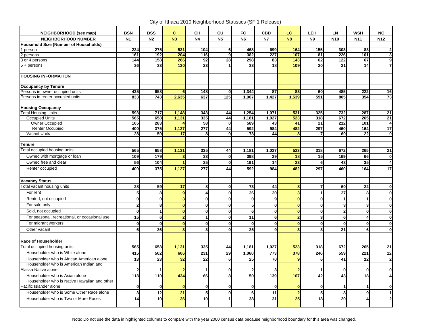City of Ithaca 2010 Neighborhood Statistics (SF 1 Release)

| NEIGHBORHOOD (see map)                              | <b>BSN</b>              | <b>BSS</b>     | C.                      | <b>CH</b>               | CU                      | FC                      | <b>CBD</b>     | LC.                     | LEH                     | LN                      | <b>WSH</b>              | <b>NC</b>               |
|-----------------------------------------------------|-------------------------|----------------|-------------------------|-------------------------|-------------------------|-------------------------|----------------|-------------------------|-------------------------|-------------------------|-------------------------|-------------------------|
| <b>NEIGHBORHOOD NUMBER</b>                          | N <sub>1</sub>          | N <sub>2</sub> | N <sub>3</sub>          | N <sub>4</sub>          | <b>N5</b>               | <b>N6</b>               | <b>N7</b>      | <b>N8</b>               | <b>N9</b>               | <b>N10</b>              | <b>N11</b>              | <b>N12</b>              |
| <b>Household Size (Number of Households)</b>        |                         |                |                         |                         |                         |                         |                |                         |                         |                         |                         |                         |
| 1 person                                            | 224                     | 275            | 531                     | 104                     | 6                       | 468                     | 699            | 164                     | 155                     | 303                     | 83                      | $\mathbf 2$             |
| 2 persons                                           | 161                     | 192            | 204                     | 116                     | $\overline{9}$          | 382                     | 227            | 107                     | 81                      | 226                     | 101                     | $\overline{\mathbf{3}}$ |
| 3 or 4 persons                                      | 144                     | 158            | 266                     | 92                      | 28                      | 298                     | 83             | 143                     | 62                      | 122                     | 67                      | $\boldsymbol{9}$        |
| 5 + persons                                         | 36                      | 33             | 130                     | $\overline{23}$         | $\overline{1}$          | 33                      | 18             | 109                     | $\overline{20}$         | $\overline{21}$         | 14                      | 7                       |
| <b>HOUSING INFORMATION</b>                          |                         |                |                         |                         |                         |                         |                |                         |                         |                         |                         |                         |
| <b>Occupancy by Tenure</b>                          |                         |                |                         |                         |                         |                         |                |                         |                         |                         |                         |                         |
| Persons in owner occupied units                     | 435                     | 658            | 6                       | 148                     | $\mathbf{0}$            | 1,344                   | 87             | 83                      | 60                      | 485                     | 222                     | 16                      |
| Persons in renter occupied units                    | 833                     | 743            | 2,635                   | 637                     | 125                     | 1.067                   | 1,427          | 1,539                   | 591                     | 805                     | 354                     | 73                      |
|                                                     |                         |                |                         |                         |                         |                         |                |                         |                         |                         |                         |                         |
| <b>Housing Occupancy</b>                            | 593                     | 717            | 1,148                   | 343                     | 44                      | 1,254                   | 1,071          | 531                     | 325                     | 732                     | 287                     | $\overline{21}$         |
| <b>Total Housing Units</b><br><b>Occupied Units</b> | 565                     | 658            | 1,131                   | 335                     | 44                      | 1,181                   | 1,027          | 523                     | 318                     | 672                     | 265                     | 21                      |
| Owner Occupied                                      | 165                     | 283            | 4                       | $\overline{58}$         | $\mathbf 0$             | 589                     | 43             | 41                      | 21                      | 212                     | 101                     | 4                       |
| <b>Renter Occupied</b>                              | 400                     | 375            | 1,127                   | $\overline{277}$        | 44                      | 592                     | 984            | 482                     | $\overline{297}$        | 460                     | 164                     | $\overline{17}$         |
| Vacant Units                                        | 28                      | 59             | 17                      | 8                       | $\overline{\mathbf{0}}$ | 73                      | 44             | 8                       | $\overline{7}$          | 60                      | $\overline{22}$         | $\pmb{0}$               |
|                                                     |                         |                |                         |                         |                         |                         |                |                         |                         |                         |                         |                         |
| <b>Tenure</b>                                       |                         |                |                         |                         |                         |                         |                |                         |                         |                         |                         |                         |
| Total occupied housing units:                       | 565                     | 658            | 1,131                   | 335                     | 44                      | 1,181                   | 1,027          | 523                     | 318                     | 672                     | 265                     | 21                      |
| Owned with mortgage or loan                         | 109                     | 179            | $\overline{\mathbf{3}}$ | 33                      | $\mathbf 0$             | 398                     | 29             | 18                      | 15                      | 169                     | 66                      | $\pmb{0}$               |
| Owned free and clear                                | 56                      | 104            |                         | 25                      | $\mathbf 0$             | 191                     | 14             | 23                      | $\bf 6$                 | 43                      | 35                      | $\overline{\mathbf{4}}$ |
| Renter occupied                                     | 400                     | 375            | 1,127                   | 277                     | 44                      | 592                     | 984            | 482                     | 297                     | 460                     | 164                     | $\overline{17}$         |
|                                                     |                         |                |                         |                         |                         |                         |                |                         |                         |                         |                         |                         |
| <b>Vacancy Status</b>                               |                         |                |                         |                         |                         |                         |                |                         |                         |                         |                         |                         |
| Total vacant housing units                          | 28                      | 59             | 17                      | 8                       | $\mathbf 0$             | 73                      | 44             | 8                       | $\overline{7}$          | 60                      | 22                      | $\mathbf 0$             |
| For rent                                            | $\overline{\mathbf{5}}$ | 8              | $\boldsymbol{9}$        | $\overline{\mathbf{4}}$ | $\mathbf 0$             | 26                      | 20             | 3                       | $\mathbf{1}$            | 27                      | 8                       | $\pmb{0}$               |
| Rented, not occupied                                | $\mathbf{0}$            | 0              | 3 <sup>1</sup>          | $\mathbf 0$             | $\mathbf{0}$            | $\pmb{0}$               | 9              | $\mathbf{0}$            | $\mathbf{0}$            | $\mathbf{1}$            | $\mathbf{1}$            | $\overline{\mathbf{0}}$ |
| For sale only                                       | $\overline{\mathbf{2}}$ | 8 <sup>1</sup> | $\mathbf{0}$            | $\mathbf 0$             | $\mathbf 0$             | 5                       | $\mathbf 0$    | $\mathbf{0}$            | $\mathbf{0}$            | $\mathbf{3}$            | $\mathbf 3$             | $\pmb{0}$               |
| Sold, not occupied                                  | $\mathbf{0}$            | $\mathbf{1}$   | $\mathbf{0}$            | $\mathbf{0}$            | $\mathbf{0}$            | $\bf 6$                 | $\mathbf{0}$   | $\mathbf{0}$            | $\mathbf{0}$            | $\overline{\mathbf{2}}$ | $\pmb{0}$               | $\mathbf 0$             |
| For seasonal, recreational, or occasional use       | 15                      | 6              | $2 \overline{2}$        | $\mathbf{1}$            | $\mathbf{0}$            | 11                      | $6\phantom{1}$ | $\overline{2}$          | $\overline{\mathbf{3}}$ | 6                       | $\overline{\mathbf{A}}$ | $\overline{\mathbf{0}}$ |
| For migrant workers                                 | $\mathbf{0}$            | $\mathbf{0}$   | $\mathbf{0}$            | $\mathbf 0$             | $\mathbf{0}$            | $\mathbf 0$             | $\mathbf{0}$   | $\mathbf{0}$            | $\mathbf{0}$            | $\mathbf{0}$            | $\mathbf 0$             | $\pmb{0}$               |
| Other vacant                                        | 6                       | 36             | 3                       | $\overline{\mathbf{3}}$ | $\mathbf{0}$            | 25                      | $\overline{9}$ | $\overline{\mathbf{3}}$ | $\overline{\mathbf{3}}$ | 21                      | 6                       | $\overline{\mathbf{0}}$ |
|                                                     |                         |                |                         |                         |                         |                         |                |                         |                         |                         |                         |                         |
| Race of Householder                                 |                         |                |                         |                         |                         |                         |                |                         |                         |                         |                         |                         |
| Total occupied housing units                        | 565                     | 658            | 1,131                   | 335                     | 44                      | 1,181                   | 1,027          | 523                     | 318                     | 672                     | 265                     | 21                      |
| Householder who is White alone                      | 415                     | 502            | 606                     | 231                     | 29                      | 1,060                   | 773            | 378                     | 246                     | 559                     | 221                     | 12                      |
| Householder who is African American alone           | 13                      | 23             | 32                      | 22                      | 6                       | 25                      | 70             | $\mathbf{9}$            | $6\phantom{1}$          | 41                      | 12                      | $\mathbf 2$             |
| Householder who is American Indian and              |                         |                |                         |                         |                         |                         |                |                         |                         |                         |                         |                         |
| Alaska Native alone                                 | $\overline{2}$          | -1             | $\mathbf{2}$            | $\mathbf{1}$            | $\mathbf 0$             | $\overline{\mathbf{2}}$ | 3              |                         | 1                       | $\mathbf{0}$            | $\mathbf 0$             | $\mathbf 0$             |
| Householder who is Asian alone                      | 118                     | 110            | 434                     | 66                      | 8                       | 50                      | 139            | 107                     | 42                      | 43                      | 18                      | 4                       |
| Householder who is Native Hawaiian and other        |                         |                |                         |                         |                         |                         |                |                         |                         |                         |                         |                         |
| Pacific Islander alone                              | $\mathbf 0$             | 0              | $\bf{0}$                | $\mathbf 0$             | 0                       | $\mathbf 0$             | 0              | $\bf{0}$                | $\mathbf{0}$            | 1                       | 1                       | $\mathbf 0$             |
| Householder who is Some Other Race alone            | $\mathbf{3}$            | 12             | 21                      | $\overline{\mathbf{5}}$ | $\mathbf 0$             | $6\phantom{a}$          | 11             | $\overline{2}$          | 5                       | 8                       | 9                       | $\ddot{\mathbf{1}}$     |
| Householder who is Two or More Races                | 14                      | 10             | 36                      | 10                      | 1                       | 38                      | 31             | 25                      | 18                      | 20                      | 4                       | $\overline{\mathbf{2}}$ |
|                                                     |                         |                |                         |                         |                         |                         |                |                         |                         |                         |                         |                         |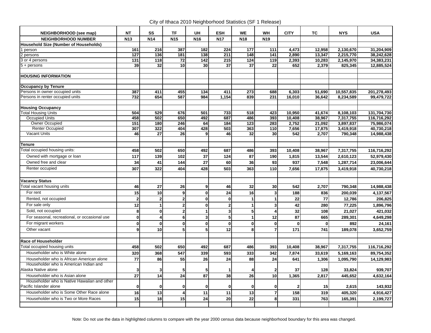City of Ithaca 2010 Neighborhood Statistics (SF 1 Release)

| NEIGHBORHOOD (see map)                                              | <b>NT</b>               | SS              | <b>TF</b>               | <b>UH</b>       | <b>ESH</b>              | <b>WE</b>        | WH              | <b>CITY</b>     | <b>TC</b>        | <b>NYS</b>              | <b>USA</b>                |
|---------------------------------------------------------------------|-------------------------|-----------------|-------------------------|-----------------|-------------------------|------------------|-----------------|-----------------|------------------|-------------------------|---------------------------|
| <b>NEIGHBORHOOD NUMBER</b>                                          | N <sub>13</sub>         | <b>N14</b>      | N <sub>15</sub>         | N <sub>16</sub> | <b>N17</b>              | N <sub>18</sub>  | N <sub>19</sub> |                 |                  |                         |                           |
| <b>Household Size (Number of Households)</b>                        |                         |                 |                         |                 |                         |                  |                 |                 |                  |                         |                           |
| 1 person                                                            | 161                     | 216             | 387                     | 182             | 224                     | 177              | 111             | 4,473           | 12,958           | 2,130,670               | 31.204.909                |
| 2 persons                                                           | 127                     | 136             | 181                     | 138             | $\overline{211}$        | 148              | 141             | 2,890           | 13,347           | 2,215,770               | 38,242,628                |
| 3 or 4 persons                                                      | 131                     | 118             | 72                      | 142             | 215                     | 124              | 119             | 2,393           | 10,283           | 2,145,970               | 34,383,231                |
| $5 +$ persons                                                       | 39                      | 32              | 10                      | 30              | $\overline{37}$         | $\overline{37}$  | $\overline{22}$ | 652             | 2,379            | 825,345                 | 12,885,524                |
|                                                                     |                         |                 |                         |                 |                         |                  |                 |                 |                  |                         |                           |
| <b>HOUSING INFORMATION</b>                                          |                         |                 |                         |                 |                         |                  |                 |                 |                  |                         |                           |
|                                                                     |                         |                 |                         |                 |                         |                  |                 |                 |                  |                         |                           |
| <b>Occupancy by Tenure</b>                                          | 387                     |                 |                         |                 |                         |                  |                 |                 |                  |                         |                           |
| Persons in owner occupied units<br>Persons in renter occupied units | $\overline{732}$        | 411<br>654      | 455<br>587              | 134<br>984      | 411<br>1.154            | 273<br>839       | 688<br>231      | 6,303<br>16,010 | 51,690<br>36,642 | 10,557,835<br>8,234,589 | 201,278,493<br>99,479,722 |
|                                                                     |                         |                 |                         |                 |                         |                  |                 |                 |                  |                         |                           |
| <b>Housing Occupancy</b>                                            |                         |                 |                         |                 |                         |                  |                 |                 |                  |                         |                           |
| <b>Total Housing Units</b>                                          | 504                     | 529             | 676                     | 501             | 733                     | $\overline{518}$ | 423             | 10.950          | 41.674           | 8,108,103               | 131,704,730               |
| <b>Occupied Units</b>                                               | 458                     | 502             | 650                     | 492             | 687                     | 486              | 393             | 10,408          | 38,967           | 7,317,755               | 116,716,292               |
| Owner Occupied                                                      | 151                     | 180             | 246                     | 64              | 184                     | 123              | 283             | 2,752           | 21,092           | 3,897,837               | 75,986,074                |
| <b>Renter Occupied</b>                                              | 307                     | 322             | 404                     | 428             | 503                     | 363              | 110             | 7.656           | 17,875           | 3,419,918               | 40,730,218                |
| <b>Vacant Units</b>                                                 | 46                      | $\overline{27}$ | 26                      | $\overline{9}$  | 46                      | 32               | 30              | 542             | 2,707            | 790,348                 | 14,988,438                |
|                                                                     |                         |                 |                         |                 |                         |                  |                 |                 |                  |                         |                           |
| <b>Tenure</b>                                                       |                         |                 |                         |                 |                         |                  |                 |                 |                  |                         |                           |
| Total occupied housing units:                                       | 458                     | 502             | 650                     | 492             | 687                     | 486              | 393             | 10,408          | 38.967           | 7,317,755               | 116,716,292               |
| Owned with mortgage or loan                                         | 117                     | 139             | 102                     | 37              | 124                     | 87               | 190             | 1,815           | 13,544           | 2,610,123               | 52,979,430                |
| Owned free and clear                                                | 34                      | 41              | 144                     | 27              | 60                      | 36               | 93              | 937             | 7,548            | 1,287,714               | 23,006,644                |
| Renter occupied                                                     | 307                     | 322             | 404                     | 428             | 503                     | 363              | 110             | 7,656           | 17,875           | 3,419,918               | 40,730,218                |
|                                                                     |                         |                 |                         |                 |                         |                  |                 |                 |                  |                         |                           |
| <b>Vacancy Status</b>                                               |                         |                 |                         |                 |                         |                  |                 |                 |                  |                         |                           |
| Total vacant housing units                                          | 46                      | 27              | 26                      | 9               | 46                      | 32               | 30              | 542             | 2,707            | 790,348                 | 14,988,438                |
| For rent                                                            | 15                      | 10              | 9                       | $\mathbf{0}$    | 24                      | 16               | 3               | 188             | 836              | 200,039                 | 4,137,567                 |
| Rented, not occupied                                                | $\overline{\mathbf{2}}$ | $\overline{2}$  | $\mathbf{2}$            | $\mathbf 0$     | $\pmb{0}$               | $\mathbf{1}$     | $\mathbf{1}$    | 22              | 77               | 12,786                  | 206,825                   |
| For sale only                                                       | 12                      | $\mathbf{1}$    | $\overline{2}$          | $\mathbf{0}$    | $\overline{\mathbf{2}}$ | $\overline{1}$   | 3               | 42              | 280              |                         |                           |
|                                                                     |                         |                 |                         |                 |                         |                  |                 |                 |                  | 77,225                  | 1,896,796                 |
| Sold, not occupied                                                  | 8                       | $\mathbf{0}$    | $\mathbf{2}$            | $\overline{1}$  | 3                       | 5                | 4               | 32              | 108              | 21.027                  | 421,032                   |
| For seasonal, recreational, or occasional use                       | $\mathbf 0$             | $\overline{4}$  | $6\phantom{1}$          | 3               | 5                       | $\mathbf{1}$     | 12              | 87              | 665              | 289,301                 | 4,649,298                 |
| For migrant workers                                                 | $\mathbf{0}$            | $\mathbf{0}$    | $\mathbf{0}$            | $\mathbf 0$     | $\mathbf{0}$            | $\mathbf 0$      | $\mathbf{0}$    | $\mathbf 0$     | $\mathbf{0}$     | 892                     | 24,161                    |
| Other vacant                                                        | 9                       | 10              | $5\phantom{a}$          | $5\phantom{.0}$ | 12                      | 8                | $\overline{7}$  | 171             | 741              | 189,078                 | 3,652,759                 |
|                                                                     |                         |                 |                         |                 |                         |                  |                 |                 |                  |                         |                           |
| <b>Race of Householder</b>                                          |                         |                 |                         |                 |                         |                  |                 |                 |                  |                         |                           |
| Total occupied housing units                                        | 458                     | 502             | 650                     | 492             | 687                     | 486              | 393             | 10,408          | 38.967           | 7,317,755               | 116,716,292               |
| Householder who is White alone                                      | 320                     | 368             | 547                     | 339             | 593                     | 333              | 342             | 7,874           | 33,619           | 5,169,163               | 89,754,352                |
| Householder who is African American alone                           | 77                      | 86              | 55                      | 26              | 24                      | 88               | 24              | 641             | 1,306            | 1,095,790               | 14,129,983                |
| Householder who is American Indian and                              |                         |                 |                         |                 |                         |                  |                 |                 |                  |                         |                           |
| Alaska Native alone                                                 | 3                       | 3               | 5                       | 5               | 1                       | 4                | $\mathbf{2}$    | 37              | 128              | 33,824                  | 939,707                   |
| Householder who is Asian alone                                      | $\overline{27}$         | 14              | 24                      | 87              | 38                      | 26               | 10              | 1,365           | 2,817            | 445,652                 | 4,632,164                 |
| Householder who is Native Hawaiian and other                        |                         |                 |                         |                 |                         |                  |                 |                 |                  |                         |                           |
| Pacific Islander alone                                              | $\mathbf 0$             | $\mathbf{0}$    | $\mathbf{0}$            | $\mathbf 0$     | $\mathbf 0$             | 0                | $\mathbf 0$     | $\mathbf{2}$    | 15               | 2,615                   | 143,932                   |
| Householder who is Some Other Race alone                            | 16                      | 13              | $\overline{\mathbf{4}}$ | 11              | 11                      | 13               | $\overline{7}$  | 158             | 319              | 405,320                 | 4,916,427                 |
| Householder who is Two or More Races                                | 15                      | 18              | 15                      | 24              | 20                      | 22               | 8               | 331             | 763              | 165,391                 | 2,199,727                 |
|                                                                     |                         |                 |                         |                 |                         |                  |                 |                 |                  |                         |                           |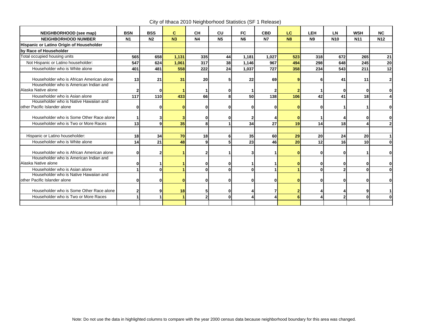City of Ithaca 2010 Neighborhood Statistics (SF 1 Release)

| NEIGHBORHOOD (see map)                                                 | <b>BSN</b>     | <b>BSS</b>     | C              | <b>CH</b>      | <b>CU</b>    | <b>FC</b>              | <b>CBD</b> | LC        | <b>LEH</b>        | LN         | <b>WSH</b>   | <b>NC</b>       |
|------------------------------------------------------------------------|----------------|----------------|----------------|----------------|--------------|------------------------|------------|-----------|-------------------|------------|--------------|-----------------|
| <b>NEIGHBORHOOD NUMBER</b>                                             | N <sub>1</sub> | N <sub>2</sub> | N <sub>3</sub> | N <sub>4</sub> | <b>N5</b>    | <b>N6</b>              | <b>N7</b>  | <b>N8</b> | <b>N9</b>         | <b>N10</b> | <b>N11</b>   | <b>N12</b>      |
| Hispanic or Latino Origin of Householder                               |                |                |                |                |              |                        |            |           |                   |            |              |                 |
| by Race of Householder                                                 |                |                |                |                |              |                        |            |           |                   |            |              |                 |
| Total occupied housing units                                           | 565            | 658            | 1,131          | 335            | 44           | 1,181                  | 1,027      | 523       | 318               | 672        | 265          | 21              |
| Not Hispanic or Latino householder:                                    | 547            | 624            | 1.061          | 317            | 38           | 1,146                  | 967        | 494       | 298               | 648        | 245          | ${\bf 20}$      |
| Householder who is White alone                                         | 401            | 481            | 558            | 222            | 24           | 1,037                  | 727        | 358       | 234               | 543        | 211          | $\overline{12}$ |
| Householder who is African American alone                              | 13             | 21             | 31             | 20             | 5            | 22                     | 69         |           | 6                 | 41         | 11           | $\mathbf{2}$    |
| Householder who is American Indian and                                 |                |                |                |                |              |                        |            |           |                   |            |              |                 |
| Alaska Native alone                                                    |                | 0              |                |                | 0            |                        |            |           |                   |            | $\bf{0}$     |                 |
| Householder who is Asian alone                                         | 117            | 110            | 433            | 66             | 8            | 50                     | 138        | 106       | 42                | 41         | 18           |                 |
| Householder who is Native Hawaiian and<br>other Pacific Islander alone | O              | 0              | n              | n              | 0            | 0                      | O          |           | 0                 |            |              | 0               |
| Householder who is Some Other Race alone                               |                | 31             | 3              | ŋ              | 0            | $\mathbf{2}$           |            |           |                   |            | $\bf{0}$     |                 |
| Householder who is Two or More Races                                   | 13             | 9l             | 35             | 8              | 1            | 34                     | 27         | 19        | 14                | 18         | 4            | $\overline{2}$  |
|                                                                        |                |                |                |                |              |                        |            |           |                   |            |              |                 |
| Hispanic or Latino householder:                                        | 18             | 34             | 70             | 18             | 6            | 35                     | 60         | 29        | 20                | 24         | 20           |                 |
| Householder who is White alone                                         | 14             | 21             | 48             | $\mathbf{Q}$   | 5            | 23                     | 46         | 20        | 12                | 16         | 10           | $\mathbf 0$     |
| Householder who is African American alone                              | O              |                |                |                |              | 3                      |            |           | 0                 |            |              | O               |
| Householder who is American Indian and<br>Alaska Native alone          |                |                |                |                |              |                        |            |           |                   |            |              |                 |
| Householder who is Asian alone                                         | O              |                |                | ŋ              | 0            | $\mathbf{0}$           |            |           | 0<br>$\mathbf{0}$ |            | ŋ            | 0               |
| Householder who is Native Hawaiian and                                 |                | $\mathbf{0}$   |                | $\Omega$       | $\mathbf{0}$ |                        |            |           |                   |            | $\mathbf{0}$ | $\mathbf 0$     |
| other Pacific Islander alone                                           | n              | 0              | $\bf{0}$       | ŋ              | 0            | $\bf{0}$               | O          |           | 0                 |            | 0            | O               |
| Householder who is Some Other Race alone                               | 2              | 91             | 18             | 51             | 0            | 4                      |            |           |                   |            | 9            |                 |
| Householder who is Two or More Races                                   |                |                |                | $\overline{2}$ | $\Omega$     | $\boldsymbol{\Lambda}$ |            |           |                   |            | $\Omega$     | $\mathbf{0}$    |
|                                                                        |                |                |                |                |              |                        |            |           |                   |            |              |                 |